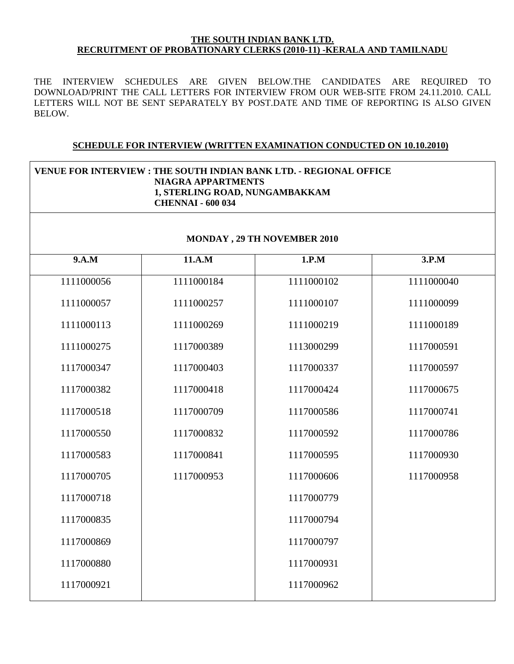#### **THE SOUTH INDIAN BANK LTD. RECRUITMENT OF PROBATIONARY CLERKS (2010-11) -KERALA AND TAMILNADU**

THE INTERVIEW SCHEDULES ARE GIVEN BELOW.THE CANDIDATES ARE REQUIRED TO DOWNLOAD/PRINT THE CALL LETTERS FOR INTERVIEW FROM OUR WEB-SITE FROM 24.11.2010. CALL LETTERS WILL NOT BE SENT SEPARATELY BY POST.DATE AND TIME OF REPORTING IS ALSO GIVEN BELOW.

#### **SCHEDULE FOR INTERVIEW (WRITTEN EXAMINATION CONDUCTED ON 10.10.2010)**

#### **VENUE FOR INTERVIEW : THE SOUTH INDIAN BANK LTD. - REGIONAL OFFICE NIAGRA APPARTMENTS 1, STERLING ROAD, NUNGAMBAKKAM CHENNAI - 600 034**

#### **MONDAY , 29 TH NOVEMBER 2010**

| 9.A.M      | 11.A.M     | 1.P.M      | 3.P.M      |
|------------|------------|------------|------------|
| 1111000056 | 1111000184 | 1111000102 | 1111000040 |
| 1111000057 | 1111000257 | 1111000107 | 1111000099 |
| 1111000113 | 1111000269 | 1111000219 | 1111000189 |
| 1111000275 | 1117000389 | 1113000299 | 1117000591 |
| 1117000347 | 1117000403 | 1117000337 | 1117000597 |
| 1117000382 | 1117000418 | 1117000424 | 1117000675 |
| 1117000518 | 1117000709 | 1117000586 | 1117000741 |
| 1117000550 | 1117000832 | 1117000592 | 1117000786 |
| 1117000583 | 1117000841 | 1117000595 | 1117000930 |
| 1117000705 | 1117000953 | 1117000606 | 1117000958 |
| 1117000718 |            | 1117000779 |            |
| 1117000835 |            | 1117000794 |            |
| 1117000869 |            | 1117000797 |            |
| 1117000880 |            | 1117000931 |            |
| 1117000921 |            | 1117000962 |            |
|            |            |            |            |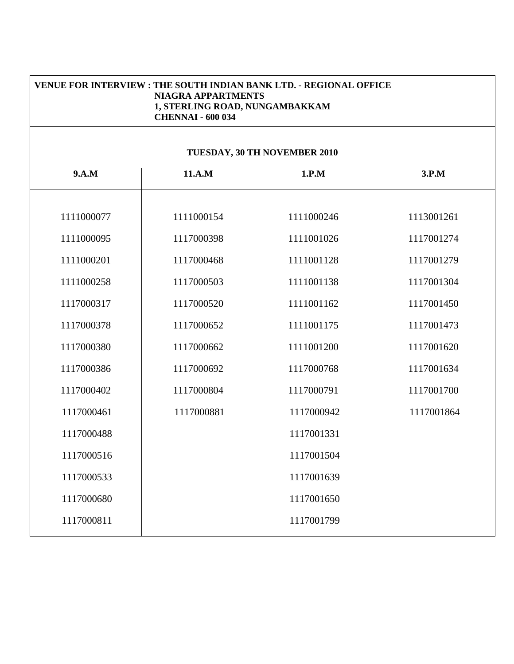|                              | ALLAN THE TUU UST |            |            |  |  |
|------------------------------|-------------------|------------|------------|--|--|
| TUESDAY, 30 TH NOVEMBER 2010 |                   |            |            |  |  |
| 9.A.M                        | 11.A.M            | 1.P.M      | 3.P.M      |  |  |
|                              |                   |            |            |  |  |
| 1111000077                   | 1111000154        | 1111000246 | 1113001261 |  |  |
| 1111000095                   | 1117000398        | 1111001026 | 1117001274 |  |  |
| 1111000201                   | 1117000468        | 1111001128 | 1117001279 |  |  |
| 1111000258                   | 1117000503        | 1111001138 | 1117001304 |  |  |
| 1117000317                   | 1117000520        | 1111001162 | 1117001450 |  |  |
| 1117000378                   | 1117000652        | 1111001175 | 1117001473 |  |  |
| 1117000380                   | 1117000662        | 1111001200 | 1117001620 |  |  |
| 1117000386                   | 1117000692        | 1117000768 | 1117001634 |  |  |
| 1117000402                   | 1117000804        | 1117000791 | 1117001700 |  |  |
| 1117000461                   | 1117000881        | 1117000942 | 1117001864 |  |  |
| 1117000488                   |                   | 1117001331 |            |  |  |
| 1117000516                   |                   | 1117001504 |            |  |  |
| 1117000533                   |                   | 1117001639 |            |  |  |
| 1117000680                   |                   | 1117001650 |            |  |  |
| 1117000811                   |                   | 1117001799 |            |  |  |

#### **VENUE FOR INTERVIEW : THE SOUTH INDIAN BANK LTD. - REGIONAL OFFICE NIAGRA APPARTMENTS 1, STERLING ROAD, NUNGAMBAKKAM CHENNAI - 600 034**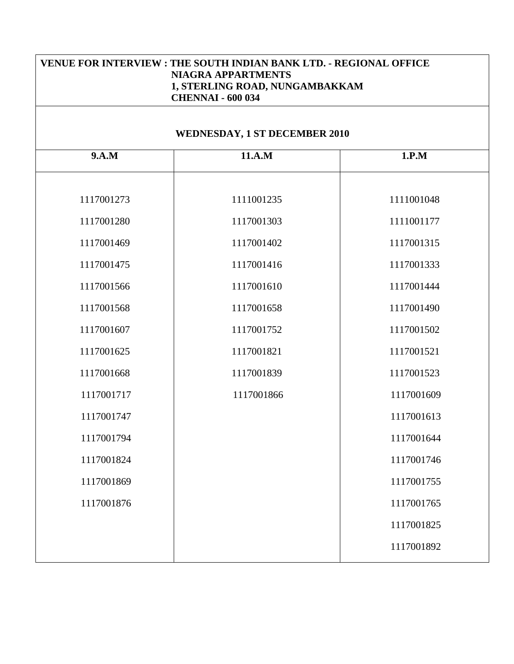| <b>VENUE FOR INTERVIEW : THE SOUTH INDIAN BANK LTD. - REGIONAL OFFICE</b><br><b>NIAGRA APPARTMENTS</b><br>1, STERLING ROAD, NUNGAMBAKKAM<br><b>CHENNAI - 600 034</b> |                                      |            |  |
|----------------------------------------------------------------------------------------------------------------------------------------------------------------------|--------------------------------------|------------|--|
|                                                                                                                                                                      | <b>WEDNESDAY, 1 ST DECEMBER 2010</b> |            |  |
| 9.A.M                                                                                                                                                                | 11.A.M                               | 1.P.M      |  |
| 1117001273                                                                                                                                                           | 1111001235                           | 1111001048 |  |
| 1117001280                                                                                                                                                           | 1117001303                           | 1111001177 |  |
| 1117001469                                                                                                                                                           | 1117001402                           | 1117001315 |  |
| 1117001475                                                                                                                                                           | 1117001416                           | 1117001333 |  |
| 1117001566                                                                                                                                                           | 1117001610                           | 1117001444 |  |
| 1117001568                                                                                                                                                           | 1117001658                           | 1117001490 |  |
| 1117001607                                                                                                                                                           | 1117001752                           | 1117001502 |  |
| 1117001625                                                                                                                                                           | 1117001821                           | 1117001521 |  |
| 1117001668                                                                                                                                                           | 1117001839                           | 1117001523 |  |
| 1117001717                                                                                                                                                           | 1117001866                           | 1117001609 |  |
| 1117001747                                                                                                                                                           |                                      | 1117001613 |  |
| 1117001794                                                                                                                                                           |                                      | 1117001644 |  |
| 1117001824                                                                                                                                                           |                                      | 1117001746 |  |
| 1117001869                                                                                                                                                           |                                      | 1117001755 |  |
| 1117001876                                                                                                                                                           |                                      | 1117001765 |  |
|                                                                                                                                                                      |                                      | 1117001825 |  |
|                                                                                                                                                                      |                                      | 1117001892 |  |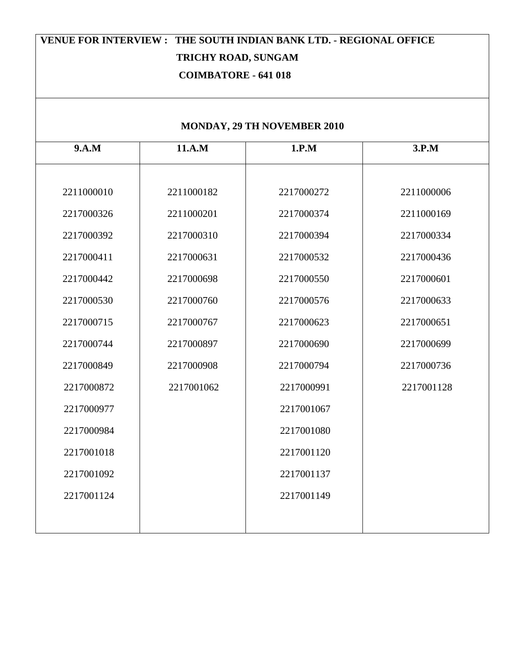# **VENUE FOR INTERVIEW : THE SOUTH INDIAN BANK LTD. - REGIONAL OFFICE TRICHY ROAD, SUNGAM COIMBATORE - 641 018**

## **MONDAY, 29 TH NOVEMBER 2010**

| 9.A.M      | 11.A.M     | 1.P.M      | 3.P.M      |
|------------|------------|------------|------------|
|            |            |            |            |
| 2211000010 | 2211000182 | 2217000272 | 2211000006 |
| 2217000326 | 2211000201 | 2217000374 | 2211000169 |
| 2217000392 | 2217000310 | 2217000394 | 2217000334 |
| 2217000411 | 2217000631 | 2217000532 | 2217000436 |
| 2217000442 | 2217000698 | 2217000550 | 2217000601 |
| 2217000530 | 2217000760 | 2217000576 | 2217000633 |
| 2217000715 | 2217000767 | 2217000623 | 2217000651 |
| 2217000744 | 2217000897 | 2217000690 | 2217000699 |
| 2217000849 | 2217000908 | 2217000794 | 2217000736 |
| 2217000872 | 2217001062 | 2217000991 | 2217001128 |
| 2217000977 |            | 2217001067 |            |
| 2217000984 |            | 2217001080 |            |
| 2217001018 |            | 2217001120 |            |
| 2217001092 |            | 2217001137 |            |
| 2217001124 |            | 2217001149 |            |
|            |            |            |            |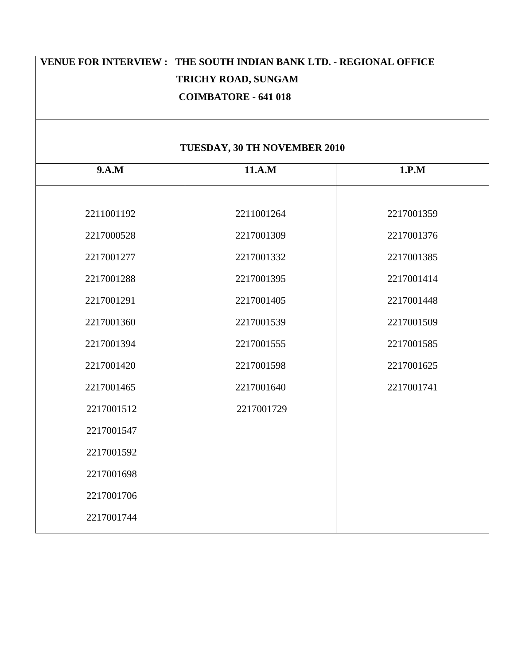| VENUE FOR INTERVIEW: THE SOUTH INDIAN BANK LTD. - REGIONAL OFFICE<br>TRICHY ROAD, SUNGAM<br><b>COIMBATORE - 641 018</b> |                              |                          |  |  |  |
|-------------------------------------------------------------------------------------------------------------------------|------------------------------|--------------------------|--|--|--|
|                                                                                                                         | TUESDAY, 30 TH NOVEMBER 2010 |                          |  |  |  |
| 9.A.M                                                                                                                   | 11.A.M                       | 1.P.M                    |  |  |  |
| 2211001192<br>2217000528                                                                                                | 2211001264<br>2217001309     | 2217001359<br>2217001376 |  |  |  |
| 2217001277                                                                                                              | 2217001332                   | 2217001385               |  |  |  |
| 2217001288                                                                                                              | 2217001395                   | 2217001414               |  |  |  |
| 2217001291                                                                                                              | 2217001405                   | 2217001448               |  |  |  |
| 2217001360                                                                                                              | 2217001539                   | 2217001509               |  |  |  |
| 2217001394                                                                                                              | 2217001555                   | 2217001585               |  |  |  |
| 2217001420                                                                                                              | 2217001598                   | 2217001625               |  |  |  |
| 2217001465                                                                                                              | 2217001640                   | 2217001741               |  |  |  |
| 2217001512                                                                                                              | 2217001729                   |                          |  |  |  |
| 2217001547                                                                                                              |                              |                          |  |  |  |
| 2217001592                                                                                                              |                              |                          |  |  |  |
| 2217001698                                                                                                              |                              |                          |  |  |  |
| 2217001706                                                                                                              |                              |                          |  |  |  |
| 2217001744                                                                                                              |                              |                          |  |  |  |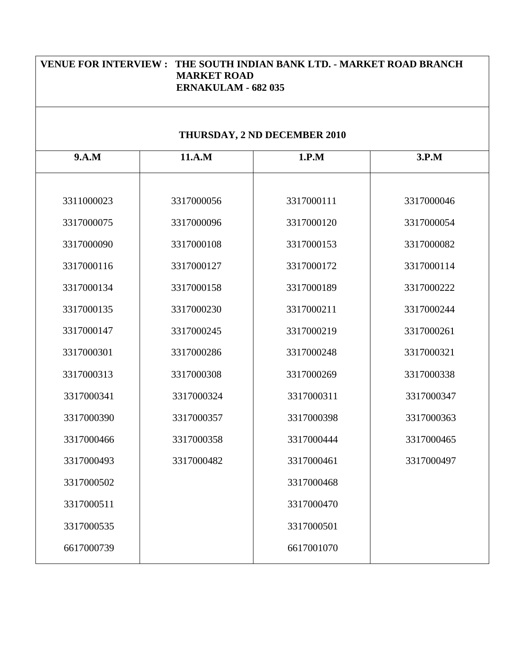| VENUE FOR INTERVIEW: THE SOUTH INDIAN BANK LTD. - MARKET ROAD BRANCH<br><b>MARKET ROAD</b><br><b>ERNAKULAM - 682 035</b> |            |                              |            |  |
|--------------------------------------------------------------------------------------------------------------------------|------------|------------------------------|------------|--|
|                                                                                                                          |            | THURSDAY, 2 ND DECEMBER 2010 |            |  |
| 9.A.M                                                                                                                    | 11.A.M     | 1.P.M                        | 3.P.M      |  |
| 3311000023                                                                                                               | 3317000056 | 3317000111                   | 3317000046 |  |
| 3317000075                                                                                                               | 3317000096 | 3317000120                   | 3317000054 |  |
| 3317000090                                                                                                               | 3317000108 | 3317000153                   | 3317000082 |  |
| 3317000116                                                                                                               | 3317000127 | 3317000172                   | 3317000114 |  |
| 3317000134                                                                                                               | 3317000158 | 3317000189                   | 3317000222 |  |
| 3317000135                                                                                                               | 3317000230 | 3317000211                   | 3317000244 |  |
| 3317000147                                                                                                               | 3317000245 | 3317000219                   | 3317000261 |  |
| 3317000301                                                                                                               | 3317000286 | 3317000248                   | 3317000321 |  |
| 3317000313                                                                                                               | 3317000308 | 3317000269                   | 3317000338 |  |
| 3317000341                                                                                                               | 3317000324 | 3317000311                   | 3317000347 |  |
| 3317000390                                                                                                               | 3317000357 | 3317000398                   | 3317000363 |  |
| 3317000466                                                                                                               | 3317000358 | 3317000444                   | 3317000465 |  |
| 3317000493                                                                                                               | 3317000482 | 3317000461                   | 3317000497 |  |
| 3317000502                                                                                                               |            | 3317000468                   |            |  |
| 3317000511                                                                                                               |            | 3317000470                   |            |  |
| 3317000535                                                                                                               |            | 3317000501                   |            |  |
| 6617000739                                                                                                               |            | 6617001070                   |            |  |
|                                                                                                                          |            |                              |            |  |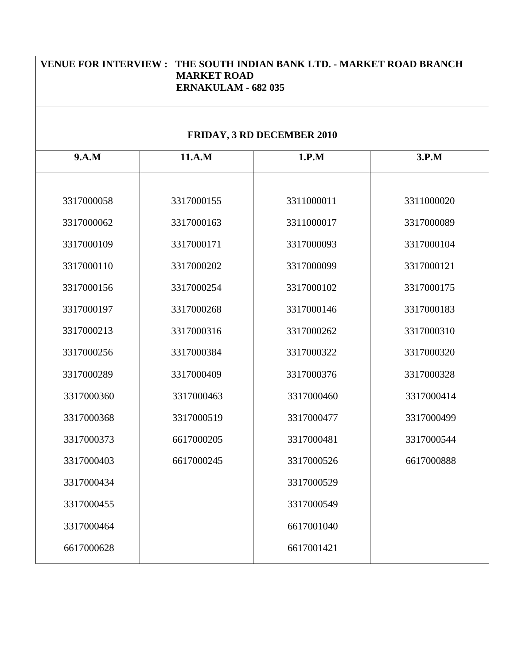| VENUE FOR INTERVIEW: THE SOUTH INDIAN BANK LTD. - MARKET ROAD BRANCH<br><b>MARKET ROAD</b><br><b>ERNAKULAM - 682 035</b> |            |                                   |  |  |
|--------------------------------------------------------------------------------------------------------------------------|------------|-----------------------------------|--|--|
|                                                                                                                          |            |                                   |  |  |
| 11.A.M                                                                                                                   | 1.P.M      | 3.P.M                             |  |  |
| 3317000155                                                                                                               | 3311000011 | 3311000020                        |  |  |
| 3317000163                                                                                                               | 3311000017 | 3317000089                        |  |  |
| 3317000171                                                                                                               | 3317000093 | 3317000104                        |  |  |
| 3317000202                                                                                                               | 3317000099 | 3317000121                        |  |  |
| 3317000254                                                                                                               | 3317000102 | 3317000175                        |  |  |
| 3317000268                                                                                                               | 3317000146 | 3317000183                        |  |  |
| 3317000316                                                                                                               | 3317000262 | 3317000310                        |  |  |
| 3317000384                                                                                                               | 3317000322 | 3317000320                        |  |  |
| 3317000409                                                                                                               | 3317000376 | 3317000328                        |  |  |
| 3317000463                                                                                                               | 3317000460 | 3317000414                        |  |  |
| 3317000519                                                                                                               | 3317000477 | 3317000499                        |  |  |
| 6617000205                                                                                                               | 3317000481 | 3317000544                        |  |  |
| 6617000245                                                                                                               | 3317000526 | 6617000888                        |  |  |
|                                                                                                                          | 3317000529 |                                   |  |  |
|                                                                                                                          | 3317000549 |                                   |  |  |
|                                                                                                                          | 6617001040 |                                   |  |  |
|                                                                                                                          | 6617001421 |                                   |  |  |
|                                                                                                                          |            | <b>FRIDAY, 3 RD DECEMBER 2010</b> |  |  |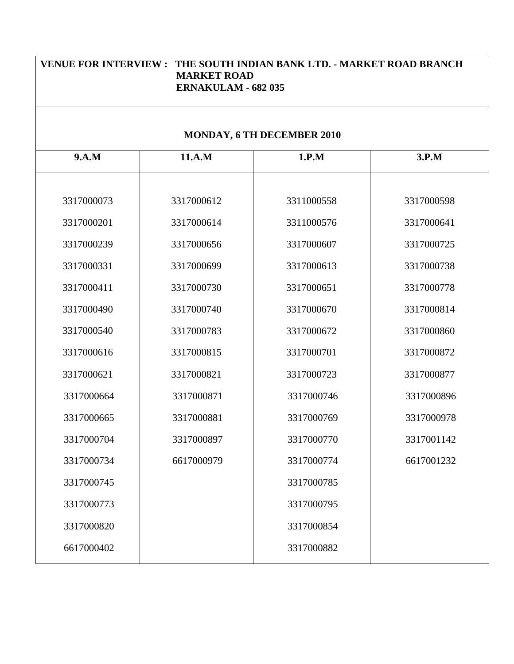| VENUE FOR INTERVIEW: THE SOUTH INDIAN BANK LTD. - MARKET ROAD BRANCH<br><b>MARKET ROAD</b><br><b>ERNAKULAM - 682 035</b> |            |                            |            |  |
|--------------------------------------------------------------------------------------------------------------------------|------------|----------------------------|------------|--|
|                                                                                                                          |            | MONDAY, 6 TH DECEMBER 2010 |            |  |
| 9.A.M                                                                                                                    | 11.A.M     | 1.P.M                      | 3.P.M      |  |
| 3317000073                                                                                                               | 3317000612 | 3311000558                 | 3317000598 |  |
| 3317000201                                                                                                               | 3317000614 | 3311000576                 | 3317000641 |  |
| 3317000239                                                                                                               | 3317000656 | 3317000607                 | 3317000725 |  |
| 3317000331                                                                                                               | 3317000699 | 3317000613                 | 3317000738 |  |
| 3317000411                                                                                                               | 3317000730 | 3317000651                 | 3317000778 |  |
| 3317000490                                                                                                               | 3317000740 | 3317000670                 | 3317000814 |  |
| 3317000540                                                                                                               | 3317000783 | 3317000672                 | 3317000860 |  |
| 3317000616                                                                                                               | 3317000815 | 3317000701                 | 3317000872 |  |
| 3317000621                                                                                                               | 3317000821 | 3317000723                 | 3317000877 |  |
| 3317000664                                                                                                               | 3317000871 | 3317000746                 | 3317000896 |  |
| 3317000665                                                                                                               | 3317000881 | 3317000769                 | 3317000978 |  |
| 3317000704                                                                                                               | 3317000897 | 3317000770                 | 3317001142 |  |
| 3317000734                                                                                                               | 6617000979 | 3317000774                 | 6617001232 |  |
| 3317000745                                                                                                               |            | 3317000785                 |            |  |
| 3317000773                                                                                                               |            | 3317000795                 |            |  |
| 3317000820                                                                                                               |            | 3317000854                 |            |  |
| 6617000402                                                                                                               |            | 3317000882                 |            |  |
|                                                                                                                          |            |                            |            |  |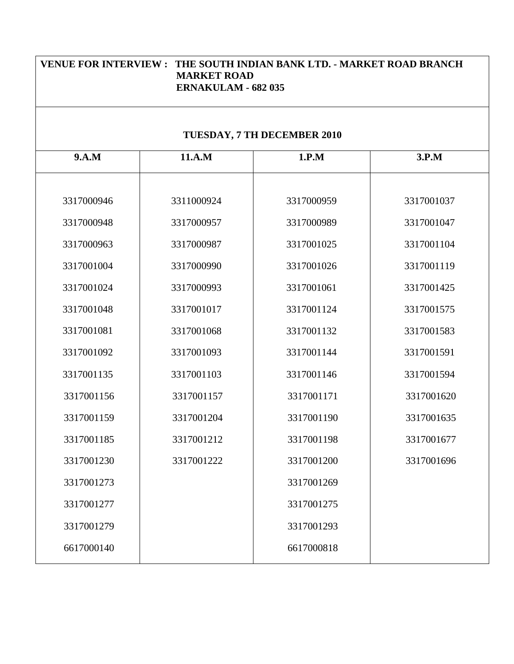| VENUE FOR INTERVIEW: THE SOUTH INDIAN BANK LTD. - MARKET ROAD BRANCH<br><b>MARKET ROAD</b><br><b>ERNAKULAM - 682 035</b> |            |                             |  |  |
|--------------------------------------------------------------------------------------------------------------------------|------------|-----------------------------|--|--|
|                                                                                                                          |            |                             |  |  |
| 11.A.M                                                                                                                   | 1.P.M      | 3.P.M                       |  |  |
| 3311000924                                                                                                               | 3317000959 | 3317001037                  |  |  |
| 3317000957                                                                                                               | 3317000989 | 3317001047                  |  |  |
| 3317000987                                                                                                               | 3317001025 | 3317001104                  |  |  |
| 3317000990                                                                                                               | 3317001026 | 3317001119                  |  |  |
| 3317000993                                                                                                               | 3317001061 | 3317001425                  |  |  |
| 3317001017                                                                                                               | 3317001124 | 3317001575                  |  |  |
| 3317001068                                                                                                               | 3317001132 | 3317001583                  |  |  |
| 3317001093                                                                                                               | 3317001144 | 3317001591                  |  |  |
| 3317001103                                                                                                               | 3317001146 | 3317001594                  |  |  |
| 3317001157                                                                                                               | 3317001171 | 3317001620                  |  |  |
| 3317001204                                                                                                               | 3317001190 | 3317001635                  |  |  |
| 3317001212                                                                                                               | 3317001198 | 3317001677                  |  |  |
| 3317001222                                                                                                               | 3317001200 | 3317001696                  |  |  |
|                                                                                                                          | 3317001269 |                             |  |  |
|                                                                                                                          | 3317001275 |                             |  |  |
|                                                                                                                          | 3317001293 |                             |  |  |
|                                                                                                                          | 6617000818 |                             |  |  |
|                                                                                                                          |            | TUESDAY, 7 TH DECEMBER 2010 |  |  |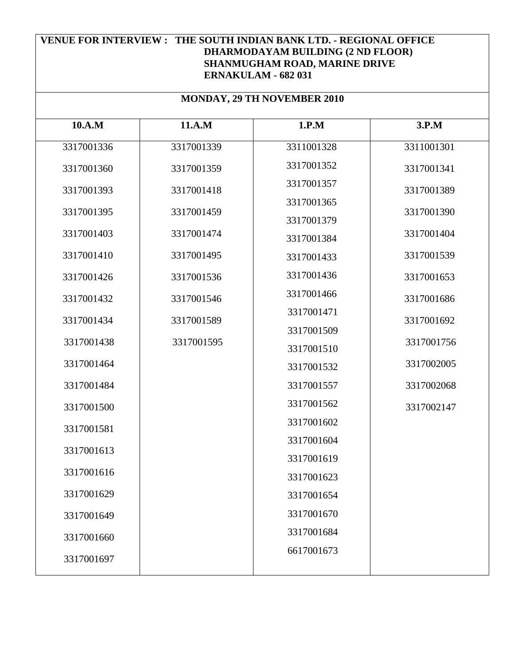| <b>MONDAY, 29 TH NOVEMBER 2010</b> |            |            |            |  |
|------------------------------------|------------|------------|------------|--|
| 10.A.M                             | 11.A.M     | 1.P.M      | 3.P.M      |  |
| 3317001336                         | 3317001339 | 3311001328 | 3311001301 |  |
| 3317001360                         | 3317001359 | 3317001352 | 3317001341 |  |
| 3317001393                         | 3317001418 | 3317001357 | 3317001389 |  |
| 3317001395                         | 3317001459 | 3317001365 | 3317001390 |  |
|                                    |            | 3317001379 |            |  |
| 3317001403                         | 3317001474 | 3317001384 | 3317001404 |  |
| 3317001410                         | 3317001495 | 3317001433 | 3317001539 |  |
| 3317001426                         | 3317001536 | 3317001436 | 3317001653 |  |
| 3317001432                         | 3317001546 | 3317001466 | 3317001686 |  |
| 3317001434                         | 3317001589 | 3317001471 | 3317001692 |  |
| 3317001438                         | 3317001595 | 3317001509 | 3317001756 |  |
|                                    |            | 3317001510 |            |  |
| 3317001464                         |            | 3317001532 | 3317002005 |  |
| 3317001484                         |            | 3317001557 | 3317002068 |  |
| 3317001500                         |            | 3317001562 | 3317002147 |  |
| 3317001581                         |            | 3317001602 |            |  |
| 3317001613                         |            | 3317001604 |            |  |
|                                    |            | 3317001619 |            |  |
| 3317001616                         |            | 3317001623 |            |  |
| 3317001629                         |            | 3317001654 |            |  |
| 3317001649                         |            | 3317001670 |            |  |
| 3317001660                         |            | 3317001684 |            |  |
| 3317001697                         |            | 6617001673 |            |  |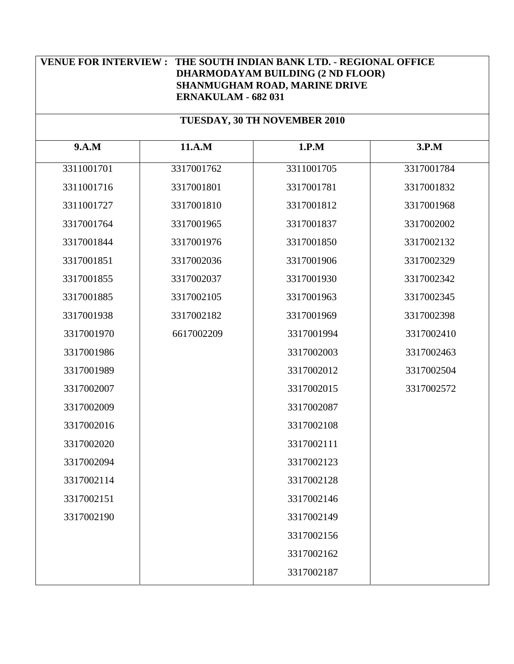#### **TUESDAY, 30 TH NOVEMBER 2010**

| 9.A.M      | 11.A.M     | 1.P.M      | 3.P.M      |
|------------|------------|------------|------------|
| 3311001701 | 3317001762 | 3311001705 | 3317001784 |
| 3311001716 | 3317001801 | 3317001781 | 3317001832 |
| 3311001727 | 3317001810 | 3317001812 | 3317001968 |
| 3317001764 | 3317001965 | 3317001837 | 3317002002 |
| 3317001844 | 3317001976 | 3317001850 | 3317002132 |
| 3317001851 | 3317002036 | 3317001906 | 3317002329 |
| 3317001855 | 3317002037 | 3317001930 | 3317002342 |
| 3317001885 | 3317002105 | 3317001963 | 3317002345 |
| 3317001938 | 3317002182 | 3317001969 | 3317002398 |
| 3317001970 | 6617002209 | 3317001994 | 3317002410 |
| 3317001986 |            | 3317002003 | 3317002463 |
| 3317001989 |            | 3317002012 | 3317002504 |
| 3317002007 |            | 3317002015 | 3317002572 |
| 3317002009 |            | 3317002087 |            |
| 3317002016 |            | 3317002108 |            |
| 3317002020 |            | 3317002111 |            |
| 3317002094 |            | 3317002123 |            |
| 3317002114 |            | 3317002128 |            |
| 3317002151 |            | 3317002146 |            |
| 3317002190 |            | 3317002149 |            |
|            |            | 3317002156 |            |
|            |            | 3317002162 |            |
|            |            | 3317002187 |            |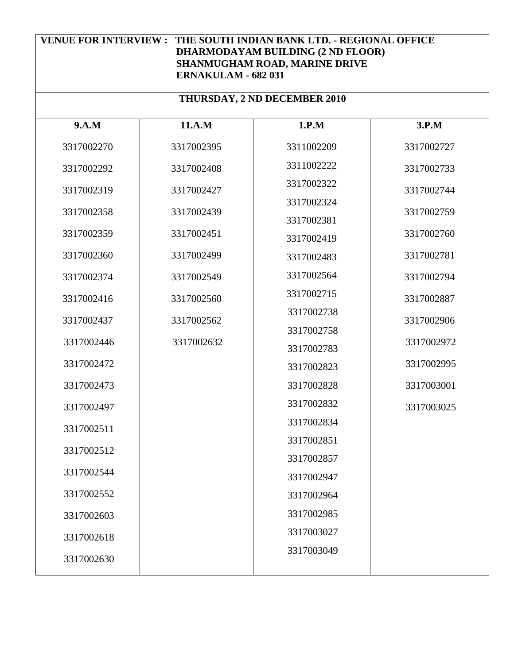| THURSDAY, 2 ND DECEMBER 2010 |            |            |            |  |
|------------------------------|------------|------------|------------|--|
| 9.A.M                        | 11.A.M     | 1.P.M      | 3.P.M      |  |
| 3317002270                   | 3317002395 | 3311002209 | 3317002727 |  |
| 3317002292                   | 3317002408 | 3311002222 | 3317002733 |  |
| 3317002319                   | 3317002427 | 3317002322 | 3317002744 |  |
| 3317002358                   | 3317002439 | 3317002324 | 3317002759 |  |
| 3317002359                   | 3317002451 | 3317002381 | 3317002760 |  |
|                              |            | 3317002419 |            |  |
| 3317002360                   | 3317002499 | 3317002483 | 3317002781 |  |
| 3317002374                   | 3317002549 | 3317002564 | 3317002794 |  |
| 3317002416                   | 3317002560 | 3317002715 | 3317002887 |  |
| 3317002437                   | 3317002562 | 3317002738 | 3317002906 |  |
| 3317002446                   | 3317002632 | 3317002758 | 3317002972 |  |
|                              |            | 3317002783 |            |  |
| 3317002472                   |            | 3317002823 | 3317002995 |  |
| 3317002473                   |            | 3317002828 | 3317003001 |  |
| 3317002497                   |            | 3317002832 | 3317003025 |  |
| 3317002511                   |            | 3317002834 |            |  |
| 3317002512                   |            | 3317002851 |            |  |
|                              |            | 3317002857 |            |  |
| 3317002544                   |            | 3317002947 |            |  |
| 3317002552                   |            | 3317002964 |            |  |
| 3317002603                   |            | 3317002985 |            |  |
| 3317002618                   |            | 3317003027 |            |  |
| 3317002630                   |            | 3317003049 |            |  |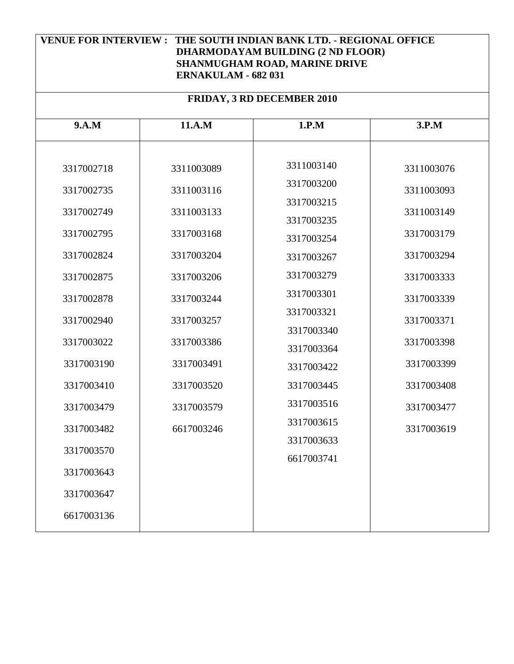| <b>FRIDAY, 3 RD DECEMBER 2010</b> |            |            |            |
|-----------------------------------|------------|------------|------------|
| 9.A.M                             | 11.A.M     | 1.P.M      | 3.P.M      |
|                                   |            |            |            |
| 3317002718                        | 3311003089 | 3311003140 | 3311003076 |
| 3317002735                        | 3311003116 | 3317003200 | 3311003093 |
| 3317002749                        | 3311003133 | 3317003215 | 3311003149 |
| 3317002795                        | 3317003168 | 3317003235 | 3317003179 |
|                                   |            | 3317003254 |            |
| 3317002824                        | 3317003204 | 3317003267 | 3317003294 |
| 3317002875                        | 3317003206 | 3317003279 | 3317003333 |
| 3317002878                        | 3317003244 | 3317003301 | 3317003339 |
| 3317002940                        | 3317003257 | 3317003321 | 3317003371 |
| 3317003022                        | 3317003386 | 3317003340 | 3317003398 |
| 3317003190                        | 3317003491 | 3317003364 | 3317003399 |
|                                   |            | 3317003422 |            |
| 3317003410                        | 3317003520 | 3317003445 | 3317003408 |
| 3317003479                        | 3317003579 | 3317003516 | 3317003477 |
| 3317003482                        | 6617003246 | 3317003615 | 3317003619 |
| 3317003570                        |            | 3317003633 |            |
| 3317003643                        |            | 6617003741 |            |
| 3317003647                        |            |            |            |
| 6617003136                        |            |            |            |
|                                   |            |            |            |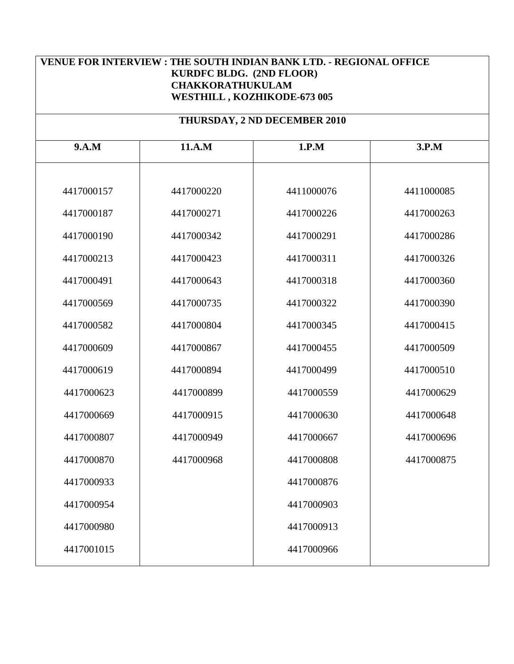#### **THURSDAY, 2 ND DECEMBER 2010**

| 9.A.M      | 11.A.M     | 1.P.M      | 3.P.M      |
|------------|------------|------------|------------|
|            |            |            |            |
| 4417000157 | 4417000220 | 4411000076 | 4411000085 |
| 4417000187 | 4417000271 | 4417000226 | 4417000263 |
| 4417000190 | 4417000342 | 4417000291 | 4417000286 |
| 4417000213 | 4417000423 | 4417000311 | 4417000326 |
| 4417000491 | 4417000643 | 4417000318 | 4417000360 |
| 4417000569 | 4417000735 | 4417000322 | 4417000390 |
| 4417000582 | 4417000804 | 4417000345 | 4417000415 |
| 4417000609 | 4417000867 | 4417000455 | 4417000509 |
| 4417000619 | 4417000894 | 4417000499 | 4417000510 |
| 4417000623 | 4417000899 | 4417000559 | 4417000629 |
| 4417000669 | 4417000915 | 4417000630 | 4417000648 |
| 4417000807 | 4417000949 | 4417000667 | 4417000696 |
| 4417000870 | 4417000968 | 4417000808 | 4417000875 |
| 4417000933 |            | 4417000876 |            |
| 4417000954 |            | 4417000903 |            |
| 4417000980 |            | 4417000913 |            |
| 4417001015 |            | 4417000966 |            |
|            |            |            |            |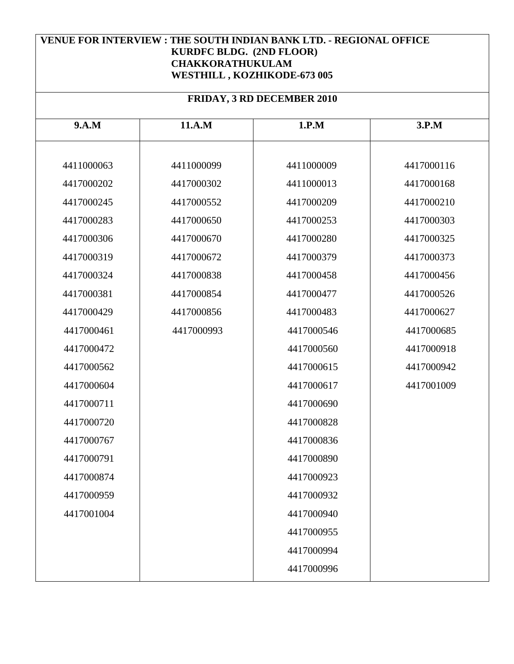| <b>FRIDAY, 3 RD DECEMBER 2010</b> |            |            |            |
|-----------------------------------|------------|------------|------------|
| 9.A.M                             | 11.A.M     | 1.P.M      | 3.P.M      |
| 4411000063                        | 4411000099 | 4411000009 | 4417000116 |
| 4417000202                        | 4417000302 | 4411000013 | 4417000168 |
| 4417000245                        | 4417000552 | 4417000209 | 4417000210 |
| 4417000283                        | 4417000650 | 4417000253 | 4417000303 |
| 4417000306                        | 4417000670 | 4417000280 | 4417000325 |
| 4417000319                        | 4417000672 | 4417000379 | 4417000373 |
| 4417000324                        | 4417000838 | 4417000458 | 4417000456 |
| 4417000381                        | 4417000854 | 4417000477 | 4417000526 |
| 4417000429                        | 4417000856 | 4417000483 | 4417000627 |
| 4417000461                        | 4417000993 | 4417000546 | 4417000685 |
| 4417000472                        |            | 4417000560 | 4417000918 |
| 4417000562                        |            | 4417000615 | 4417000942 |
| 4417000604                        |            | 4417000617 | 4417001009 |
| 4417000711                        |            | 4417000690 |            |
| 4417000720                        |            | 4417000828 |            |
| 4417000767                        |            | 4417000836 |            |
| 4417000791                        |            | 4417000890 |            |
| 4417000874                        |            | 4417000923 |            |
| 4417000959                        |            | 4417000932 |            |
| 4417001004                        |            | 4417000940 |            |
|                                   |            | 4417000955 |            |
|                                   |            | 4417000994 |            |
|                                   |            | 4417000996 |            |
|                                   |            |            |            |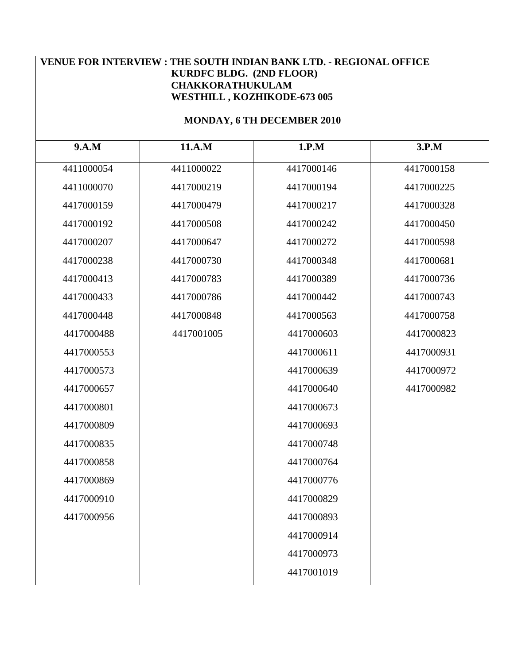#### **MONDAY, 6 TH DECEMBER 2010**

| 9.A.M      | 11.A.M     | 1.P.M      | 3.P.M      |
|------------|------------|------------|------------|
| 4411000054 | 4411000022 | 4417000146 | 4417000158 |
| 4411000070 | 4417000219 | 4417000194 | 4417000225 |
| 4417000159 | 4417000479 | 4417000217 | 4417000328 |
| 4417000192 | 4417000508 | 4417000242 | 4417000450 |
| 4417000207 | 4417000647 | 4417000272 | 4417000598 |
| 4417000238 | 4417000730 | 4417000348 | 4417000681 |
| 4417000413 | 4417000783 | 4417000389 | 4417000736 |
| 4417000433 | 4417000786 | 4417000442 | 4417000743 |
| 4417000448 | 4417000848 | 4417000563 | 4417000758 |
| 4417000488 | 4417001005 | 4417000603 | 4417000823 |
| 4417000553 |            | 4417000611 | 4417000931 |
| 4417000573 |            | 4417000639 | 4417000972 |
| 4417000657 |            | 4417000640 | 4417000982 |
| 4417000801 |            | 4417000673 |            |
| 4417000809 |            | 4417000693 |            |
| 4417000835 |            | 4417000748 |            |
| 4417000858 |            | 4417000764 |            |
| 4417000869 |            | 4417000776 |            |
| 4417000910 |            | 4417000829 |            |
| 4417000956 |            | 4417000893 |            |
|            |            | 4417000914 |            |
|            |            | 4417000973 |            |
|            |            | 4417001019 |            |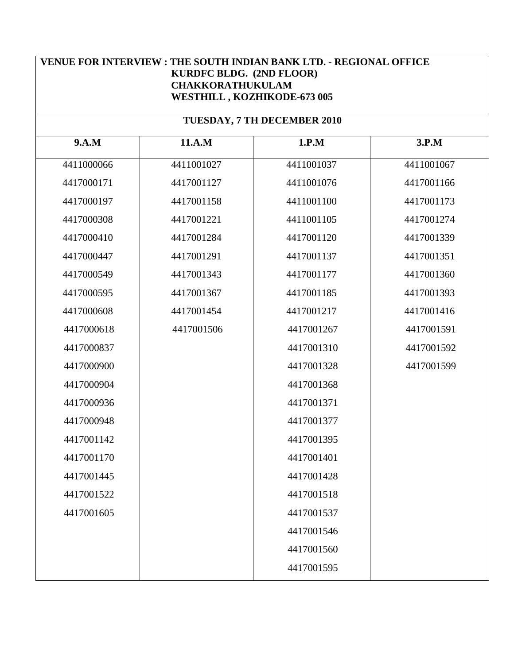## **TUESDAY, 7 TH DECEMBER 2010**

| 9.A.M      | 11.A.M     | 1.P.M      | 3.P.M      |
|------------|------------|------------|------------|
| 4411000066 | 4411001027 | 4411001037 | 4411001067 |
| 4417000171 | 4417001127 | 4411001076 | 4417001166 |
| 4417000197 | 4417001158 | 4411001100 | 4417001173 |
| 4417000308 | 4417001221 | 4411001105 | 4417001274 |
| 4417000410 | 4417001284 | 4417001120 | 4417001339 |
| 4417000447 | 4417001291 | 4417001137 | 4417001351 |
| 4417000549 | 4417001343 | 4417001177 | 4417001360 |
| 4417000595 | 4417001367 | 4417001185 | 4417001393 |
| 4417000608 | 4417001454 | 4417001217 | 4417001416 |
| 4417000618 | 4417001506 | 4417001267 | 4417001591 |
| 4417000837 |            | 4417001310 | 4417001592 |
| 4417000900 |            | 4417001328 | 4417001599 |
| 4417000904 |            | 4417001368 |            |
| 4417000936 |            | 4417001371 |            |
| 4417000948 |            | 4417001377 |            |
| 4417001142 |            | 4417001395 |            |
| 4417001170 |            | 4417001401 |            |
| 4417001445 |            | 4417001428 |            |
| 4417001522 |            | 4417001518 |            |
| 4417001605 |            | 4417001537 |            |
|            |            | 4417001546 |            |
|            |            | 4417001560 |            |
|            |            | 4417001595 |            |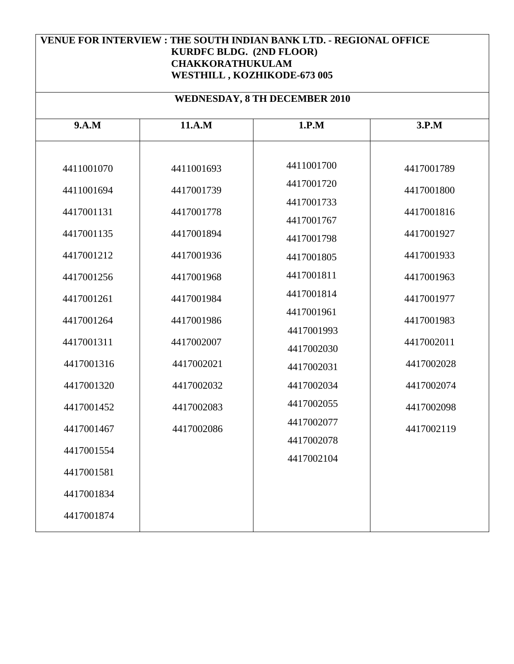| <b>WEDNESDAY, 8 TH DECEMBER 2010</b>                                                                                       |                                                                                                              |                                                                                                                            |                                                                                                              |  |
|----------------------------------------------------------------------------------------------------------------------------|--------------------------------------------------------------------------------------------------------------|----------------------------------------------------------------------------------------------------------------------------|--------------------------------------------------------------------------------------------------------------|--|
| 9.A.M                                                                                                                      | 11.A.M                                                                                                       | 1.P.M                                                                                                                      | 3.P.M                                                                                                        |  |
| 4411001070<br>4411001694<br>4417001131<br>4417001135<br>4417001212<br>4417001256<br>4417001261<br>4417001264               | 4411001693<br>4417001739<br>4417001778<br>4417001894<br>4417001936<br>4417001968<br>4417001984<br>4417001986 | 4411001700<br>4417001720<br>4417001733<br>4417001767<br>4417001798<br>4417001805<br>4417001811<br>4417001814<br>4417001961 | 4417001789<br>4417001800<br>4417001816<br>4417001927<br>4417001933<br>4417001963<br>4417001977<br>4417001983 |  |
| 4417001311<br>4417001316<br>4417001320<br>4417001452<br>4417001467<br>4417001554<br>4417001581<br>4417001834<br>4417001874 | 4417002007<br>4417002021<br>4417002032<br>4417002083<br>4417002086                                           | 4417001993<br>4417002030<br>4417002031<br>4417002034<br>4417002055<br>4417002077<br>4417002078<br>4417002104               | 4417002011<br>4417002028<br>4417002074<br>4417002098<br>4417002119                                           |  |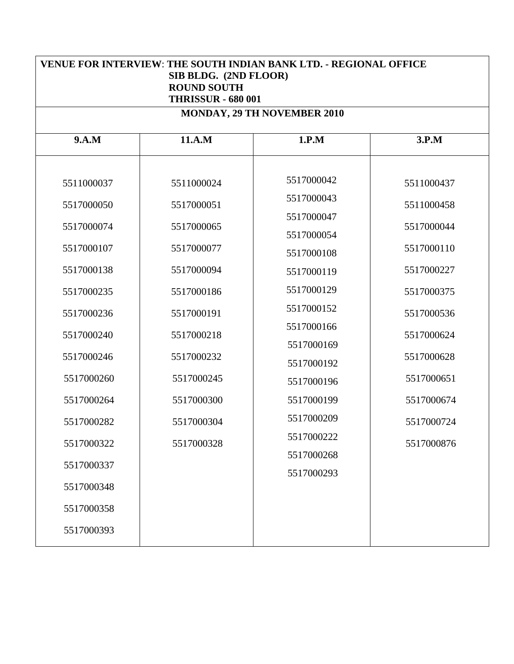| <b>VENUE FOR INTERVIEW: THE SOUTH INDIAN BANK LTD. - REGIONAL OFFICE</b><br>SIB BLDG. (2ND FLOOR)<br><b>ROUND SOUTH</b><br><b>THRISSUR - 680 001</b> |            |                                    |            |
|------------------------------------------------------------------------------------------------------------------------------------------------------|------------|------------------------------------|------------|
|                                                                                                                                                      |            | <b>MONDAY, 29 TH NOVEMBER 2010</b> |            |
| 9.A.M                                                                                                                                                | 11.A.M     | 1.P.M                              | 3.P.M      |
| 5511000037                                                                                                                                           | 5511000024 | 5517000042                         | 5511000437 |
| 5517000050                                                                                                                                           | 5517000051 | 5517000043                         | 5511000458 |
| 5517000074                                                                                                                                           | 5517000065 | 5517000047<br>5517000054           | 5517000044 |
| 5517000107                                                                                                                                           | 5517000077 | 5517000108                         | 5517000110 |
| 5517000138                                                                                                                                           | 5517000094 | 5517000119                         | 5517000227 |
| 5517000235                                                                                                                                           | 5517000186 | 5517000129                         | 5517000375 |
| 5517000236                                                                                                                                           | 5517000191 | 5517000152                         | 5517000536 |
| 5517000240                                                                                                                                           | 5517000218 | 5517000166                         | 5517000624 |
|                                                                                                                                                      |            | 5517000169                         |            |
| 5517000246                                                                                                                                           | 5517000232 | 5517000192                         | 5517000628 |
| 5517000260                                                                                                                                           | 5517000245 | 5517000196                         | 5517000651 |
| 5517000264                                                                                                                                           | 5517000300 | 5517000199                         | 5517000674 |
| 5517000282                                                                                                                                           | 5517000304 | 5517000209                         | 5517000724 |
| 5517000322                                                                                                                                           | 5517000328 | 5517000222                         | 5517000876 |
| 5517000337                                                                                                                                           |            | 5517000268                         |            |
|                                                                                                                                                      |            | 5517000293                         |            |
| 5517000348                                                                                                                                           |            |                                    |            |
| 5517000358                                                                                                                                           |            |                                    |            |
| 5517000393                                                                                                                                           |            |                                    |            |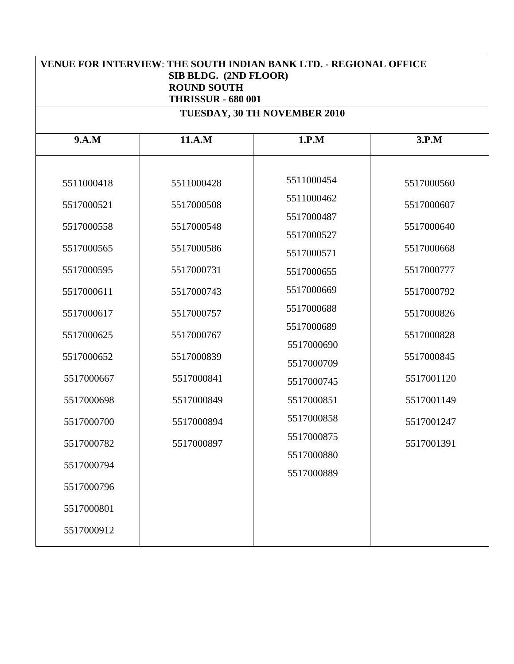| <b>VENUE FOR INTERVIEW: THE SOUTH INDIAN BANK LTD. - REGIONAL OFFICE</b><br>SIB BLDG. (2ND FLOOR)<br><b>ROUND SOUTH</b><br><b>THRISSUR - 680 001</b> |            |                              |            |
|------------------------------------------------------------------------------------------------------------------------------------------------------|------------|------------------------------|------------|
|                                                                                                                                                      |            | TUESDAY, 30 TH NOVEMBER 2010 |            |
| 9.A.M                                                                                                                                                | 11.A.M     | 1.P.M                        | 3.P.M      |
| 5511000418                                                                                                                                           | 5511000428 | 5511000454                   | 5517000560 |
| 5517000521                                                                                                                                           | 5517000508 | 5511000462                   | 5517000607 |
| 5517000558                                                                                                                                           | 5517000548 | 5517000487<br>5517000527     | 5517000640 |
| 5517000565                                                                                                                                           | 5517000586 | 5517000571                   | 5517000668 |
| 5517000595                                                                                                                                           | 5517000731 | 5517000655                   | 5517000777 |
| 5517000611                                                                                                                                           | 5517000743 | 5517000669                   | 5517000792 |
| 5517000617                                                                                                                                           | 5517000757 | 5517000688                   | 5517000826 |
| 5517000625                                                                                                                                           | 5517000767 | 5517000689                   | 5517000828 |
|                                                                                                                                                      |            | 5517000690                   |            |
| 5517000652                                                                                                                                           | 5517000839 | 5517000709                   | 5517000845 |
| 5517000667                                                                                                                                           | 5517000841 | 5517000745                   | 5517001120 |
| 5517000698                                                                                                                                           | 5517000849 | 5517000851                   | 5517001149 |
| 5517000700                                                                                                                                           | 5517000894 | 5517000858                   | 5517001247 |
| 5517000782                                                                                                                                           | 5517000897 | 5517000875                   | 5517001391 |
| 5517000794                                                                                                                                           |            | 5517000880                   |            |
|                                                                                                                                                      |            | 5517000889                   |            |
| 5517000796                                                                                                                                           |            |                              |            |
| 5517000801                                                                                                                                           |            |                              |            |
| 5517000912                                                                                                                                           |            |                              |            |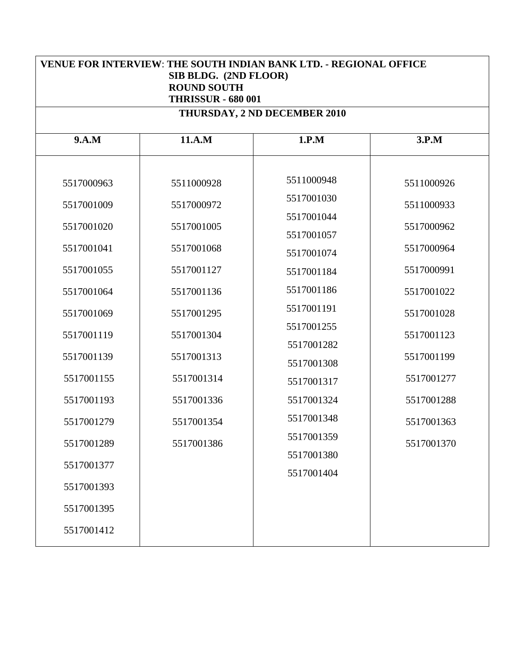| <b>VENUE FOR INTERVIEW: THE SOUTH INDIAN BANK LTD. - REGIONAL OFFICE</b><br>SIB BLDG. (2ND FLOOR)<br><b>ROUND SOUTH</b><br><b>THRISSUR - 680 001</b> |            |                              |            |
|------------------------------------------------------------------------------------------------------------------------------------------------------|------------|------------------------------|------------|
|                                                                                                                                                      |            | THURSDAY, 2 ND DECEMBER 2010 |            |
| 9.A.M                                                                                                                                                | 11.A.M     | 1.P.M                        | 3.P.M      |
| 5517000963                                                                                                                                           | 5511000928 | 5511000948                   | 5511000926 |
| 5517001009                                                                                                                                           | 5517000972 | 5517001030                   | 5511000933 |
| 5517001020                                                                                                                                           | 5517001005 | 5517001044<br>5517001057     | 5517000962 |
| 5517001041                                                                                                                                           | 5517001068 | 5517001074                   | 5517000964 |
| 5517001055                                                                                                                                           | 5517001127 | 5517001184                   | 5517000991 |
| 5517001064                                                                                                                                           | 5517001136 | 5517001186                   | 5517001022 |
| 5517001069                                                                                                                                           | 5517001295 | 5517001191                   | 5517001028 |
| 5517001119                                                                                                                                           | 5517001304 | 5517001255                   | 5517001123 |
| 5517001139                                                                                                                                           | 5517001313 | 5517001282                   | 5517001199 |
|                                                                                                                                                      |            | 5517001308                   |            |
| 5517001155                                                                                                                                           | 5517001314 | 5517001317                   | 5517001277 |
| 5517001193                                                                                                                                           | 5517001336 | 5517001324                   | 5517001288 |
| 5517001279                                                                                                                                           | 5517001354 | 5517001348                   | 5517001363 |
| 5517001289                                                                                                                                           | 5517001386 | 5517001359                   | 5517001370 |
| 5517001377                                                                                                                                           |            | 5517001380                   |            |
|                                                                                                                                                      |            | 5517001404                   |            |
| 5517001393                                                                                                                                           |            |                              |            |
| 5517001395                                                                                                                                           |            |                              |            |
| 5517001412                                                                                                                                           |            |                              |            |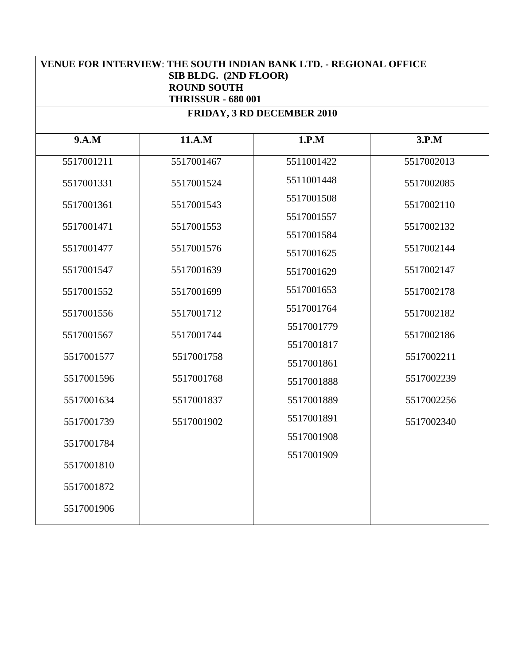| <b>VENUE FOR INTERVIEW: THE SOUTH INDIAN BANK LTD. - REGIONAL OFFICE</b><br>SIB BLDG. (2ND FLOOR)<br><b>ROUND SOUTH</b><br><b>THRISSUR - 680 001</b> |            |                            |            |
|------------------------------------------------------------------------------------------------------------------------------------------------------|------------|----------------------------|------------|
|                                                                                                                                                      |            | FRIDAY, 3 RD DECEMBER 2010 |            |
| 9.A.M                                                                                                                                                | 11.A.M     | 1.P.M                      | 3.P.M      |
| 5517001211                                                                                                                                           | 5517001467 | 5511001422                 | 5517002013 |
| 5517001331                                                                                                                                           | 5517001524 | 5511001448                 | 5517002085 |
| 5517001361                                                                                                                                           | 5517001543 | 5517001508                 | 5517002110 |
|                                                                                                                                                      |            | 5517001557                 |            |
| 5517001471                                                                                                                                           | 5517001553 | 5517001584                 | 5517002132 |
| 5517001477                                                                                                                                           | 5517001576 | 5517001625                 | 5517002144 |
| 5517001547                                                                                                                                           | 5517001639 | 5517001629                 | 5517002147 |
| 5517001552                                                                                                                                           | 5517001699 | 5517001653                 | 5517002178 |
| 5517001556                                                                                                                                           | 5517001712 | 5517001764                 | 5517002182 |
| 5517001567                                                                                                                                           | 5517001744 | 5517001779                 | 5517002186 |
|                                                                                                                                                      |            | 5517001817                 |            |
| 5517001577                                                                                                                                           | 5517001758 | 5517001861                 | 5517002211 |
| 5517001596                                                                                                                                           | 5517001768 | 5517001888                 | 5517002239 |
| 5517001634                                                                                                                                           | 5517001837 | 5517001889                 | 5517002256 |
| 5517001739                                                                                                                                           | 5517001902 | 5517001891                 | 5517002340 |
| 5517001784                                                                                                                                           |            | 5517001908                 |            |
| 5517001810                                                                                                                                           |            | 5517001909                 |            |
| 5517001872                                                                                                                                           |            |                            |            |
| 5517001906                                                                                                                                           |            |                            |            |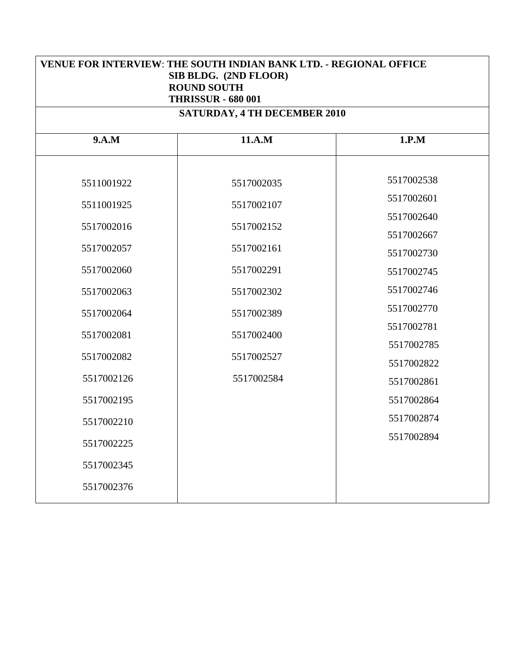| VENUE FOR INTERVIEW: THE SOUTH INDIAN BANK LTD. - REGIONAL OFFICE<br>SIB BLDG. (2ND FLOOR)<br><b>ROUND SOUTH</b><br><b>THRISSUR - 680 001</b> |                                     |                          |  |
|-----------------------------------------------------------------------------------------------------------------------------------------------|-------------------------------------|--------------------------|--|
|                                                                                                                                               | <b>SATURDAY, 4 TH DECEMBER 2010</b> |                          |  |
| 9.A.M                                                                                                                                         | 11.A.M                              | 1.P.M                    |  |
| 5511001922<br>5511001925                                                                                                                      | 5517002035<br>5517002107            | 5517002538<br>5517002601 |  |
| 5517002016                                                                                                                                    | 5517002152                          | 5517002640<br>5517002667 |  |
| 5517002057<br>5517002060                                                                                                                      | 5517002161<br>5517002291            | 5517002730<br>5517002745 |  |
| 5517002063<br>5517002064                                                                                                                      | 5517002302<br>5517002389            | 5517002746<br>5517002770 |  |
| 5517002081                                                                                                                                    | 5517002400                          | 5517002781<br>5517002785 |  |
| 5517002082<br>5517002126                                                                                                                      | 5517002527<br>5517002584            | 5517002822<br>5517002861 |  |
| 5517002195<br>5517002210                                                                                                                      |                                     | 5517002864<br>5517002874 |  |
| 5517002225                                                                                                                                    |                                     | 5517002894               |  |
| 5517002345<br>5517002376                                                                                                                      |                                     |                          |  |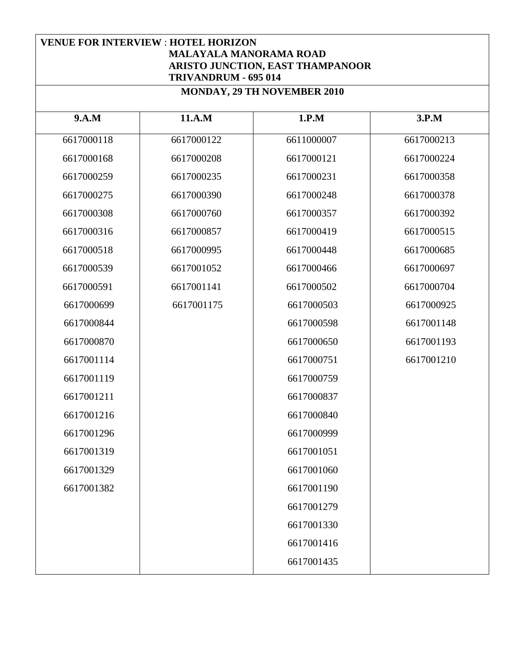## **VENUE FOR INTERVIEW** : **HOTEL HORIZON MALAYALA MANORAMA ROAD ARISTO JUNCTION, EAST THAMPANOOR TRIVANDRUM - 695 014**

| 9.A.M      | 11.A.M     | 1.P.M      | 3.P.M      |
|------------|------------|------------|------------|
| 6617000118 | 6617000122 | 6611000007 | 6617000213 |
| 6617000168 | 6617000208 | 6617000121 | 6617000224 |
| 6617000259 | 6617000235 | 6617000231 | 6617000358 |
| 6617000275 | 6617000390 | 6617000248 | 6617000378 |
| 6617000308 | 6617000760 | 6617000357 | 6617000392 |
| 6617000316 | 6617000857 | 6617000419 | 6617000515 |
| 6617000518 | 6617000995 | 6617000448 | 6617000685 |
| 6617000539 | 6617001052 | 6617000466 | 6617000697 |
| 6617000591 | 6617001141 | 6617000502 | 6617000704 |
| 6617000699 | 6617001175 | 6617000503 | 6617000925 |
| 6617000844 |            | 6617000598 | 6617001148 |
| 6617000870 |            | 6617000650 | 6617001193 |
| 6617001114 |            | 6617000751 | 6617001210 |
| 6617001119 |            | 6617000759 |            |
| 6617001211 |            | 6617000837 |            |
| 6617001216 |            | 6617000840 |            |
| 6617001296 |            | 6617000999 |            |
| 6617001319 |            | 6617001051 |            |
| 6617001329 |            | 6617001060 |            |
| 6617001382 |            | 6617001190 |            |
|            |            | 6617001279 |            |
|            |            | 6617001330 |            |
|            |            | 6617001416 |            |
|            |            | 6617001435 |            |

**MONDAY, 29 TH NOVEMBER 2010**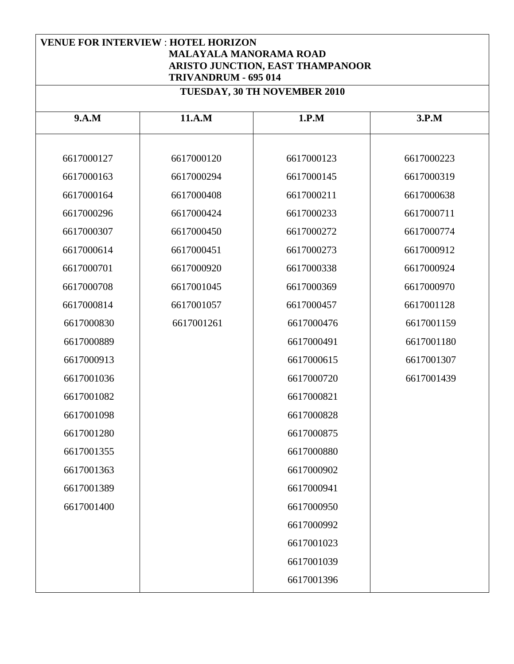| <b>VENUE FOR INTERVIEW : HOTEL HORIZON</b><br><b>MALAYALA MANORAMA ROAD</b><br>ARISTO JUNCTION, EAST THAMPANOOR<br>TRIVANDRUM - 695 014 |            |                              |            |
|-----------------------------------------------------------------------------------------------------------------------------------------|------------|------------------------------|------------|
|                                                                                                                                         |            | TUESDAY, 30 TH NOVEMBER 2010 |            |
| 9.A.M                                                                                                                                   | 11.A.M     | 1.P.M                        | 3.P.M      |
| 6617000127                                                                                                                              | 6617000120 | 6617000123                   | 6617000223 |
| 6617000163                                                                                                                              | 6617000294 | 6617000145                   | 6617000319 |
| 6617000164                                                                                                                              | 6617000408 | 6617000211                   | 6617000638 |
| 6617000296                                                                                                                              | 6617000424 | 6617000233                   | 6617000711 |
| 6617000307                                                                                                                              | 6617000450 | 6617000272                   | 6617000774 |
| 6617000614                                                                                                                              | 6617000451 | 6617000273                   | 6617000912 |
| 6617000701                                                                                                                              | 6617000920 | 6617000338                   | 6617000924 |
| 6617000708                                                                                                                              | 6617001045 | 6617000369                   | 6617000970 |
| 6617000814                                                                                                                              | 6617001057 | 6617000457                   | 6617001128 |
| 6617000830                                                                                                                              | 6617001261 | 6617000476                   | 6617001159 |
| 6617000889                                                                                                                              |            | 6617000491                   | 6617001180 |
| 6617000913                                                                                                                              |            | 6617000615                   | 6617001307 |
| 6617001036                                                                                                                              |            | 6617000720                   | 6617001439 |
| 6617001082                                                                                                                              |            | 6617000821                   |            |
| 6617001098                                                                                                                              |            | 6617000828                   |            |
| 6617001280                                                                                                                              |            | 6617000875                   |            |
| 6617001355                                                                                                                              |            | 6617000880                   |            |
| 6617001363                                                                                                                              |            | 6617000902                   |            |
| 6617001389                                                                                                                              |            | 6617000941                   |            |
| 6617001400                                                                                                                              |            | 6617000950                   |            |
|                                                                                                                                         |            | 6617000992                   |            |
|                                                                                                                                         |            | 6617001023                   |            |
|                                                                                                                                         |            | 6617001039                   |            |
|                                                                                                                                         |            | 6617001396                   |            |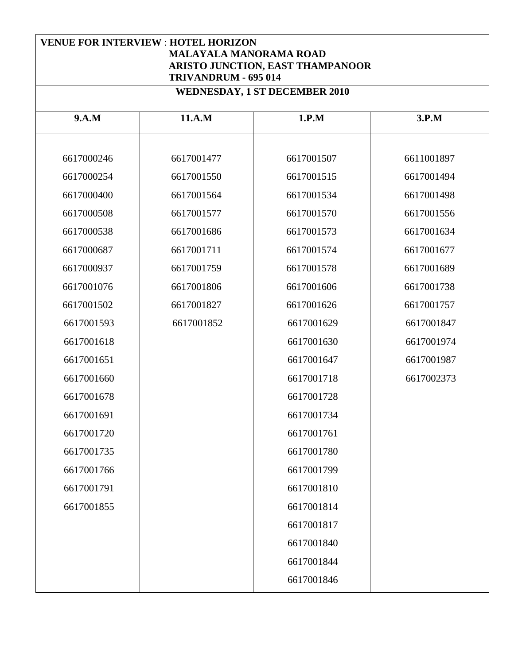| <b>VENUE FOR INTERVIEW : HOTEL HORIZON</b> |  |
|--------------------------------------------|--|
| <b>MALAYALA MANORAMA ROAD</b>              |  |
| ARISTO JUNCTION, EAST THAMPANOOR           |  |
| TRIVANDRUM - 695 014                       |  |
| <b>WEDNESDAY, 1 ST DECEMBER 2010</b>       |  |

| 9.A.M      | 11.A.M     | 1.P.M      | 3.P.M      |
|------------|------------|------------|------------|
|            |            |            |            |
| 6617000246 | 6617001477 | 6617001507 | 6611001897 |
| 6617000254 | 6617001550 | 6617001515 | 6617001494 |
| 6617000400 | 6617001564 | 6617001534 | 6617001498 |
| 6617000508 | 6617001577 | 6617001570 | 6617001556 |
| 6617000538 | 6617001686 | 6617001573 | 6617001634 |
| 6617000687 | 6617001711 | 6617001574 | 6617001677 |
| 6617000937 | 6617001759 | 6617001578 | 6617001689 |
| 6617001076 | 6617001806 | 6617001606 | 6617001738 |
| 6617001502 | 6617001827 | 6617001626 | 6617001757 |
| 6617001593 | 6617001852 | 6617001629 | 6617001847 |
| 6617001618 |            | 6617001630 | 6617001974 |
| 6617001651 |            | 6617001647 | 6617001987 |
| 6617001660 |            | 6617001718 | 6617002373 |
| 6617001678 |            | 6617001728 |            |
| 6617001691 |            | 6617001734 |            |
| 6617001720 |            | 6617001761 |            |
| 6617001735 |            | 6617001780 |            |
| 6617001766 |            | 6617001799 |            |
| 6617001791 |            | 6617001810 |            |
| 6617001855 |            | 6617001814 |            |
|            |            | 6617001817 |            |
|            |            | 6617001840 |            |
|            |            | 6617001844 |            |
|            |            | 6617001846 |            |
|            |            |            |            |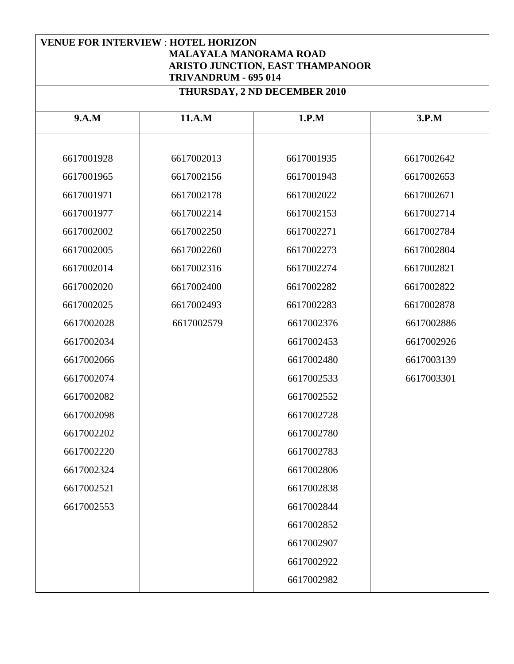| <b>VENUE FOR INTERVIEW : HOTEL HORIZON</b><br><b>MALAYALA MANORAMA ROAD</b><br>ARISTO JUNCTION, EAST THAMPANOOR<br>TRIVANDRUM - 695 014 |            |                              |            |
|-----------------------------------------------------------------------------------------------------------------------------------------|------------|------------------------------|------------|
|                                                                                                                                         |            | THURSDAY, 2 ND DECEMBER 2010 |            |
| 9.A.M                                                                                                                                   | 11.A.M     | 1.P.M                        | 3.P.M      |
| 6617001928                                                                                                                              | 6617002013 | 6617001935                   | 6617002642 |
| 6617001965                                                                                                                              | 6617002156 | 6617001943                   | 6617002653 |
| 6617001971                                                                                                                              | 6617002178 | 6617002022                   | 6617002671 |
| 6617001977                                                                                                                              | 6617002214 | 6617002153                   | 6617002714 |
| 6617002002                                                                                                                              | 6617002250 | 6617002271                   | 6617002784 |
| 6617002005                                                                                                                              | 6617002260 | 6617002273                   | 6617002804 |
| 6617002014                                                                                                                              | 6617002316 | 6617002274                   | 6617002821 |
| 6617002020                                                                                                                              | 6617002400 | 6617002282                   | 6617002822 |
| 6617002025                                                                                                                              | 6617002493 | 6617002283                   | 6617002878 |
| 6617002028                                                                                                                              | 6617002579 | 6617002376                   | 6617002886 |
| 6617002034                                                                                                                              |            | 6617002453                   | 6617002926 |
| 6617002066                                                                                                                              |            | 6617002480                   | 6617003139 |
| 6617002074                                                                                                                              |            | 6617002533                   | 6617003301 |
| 6617002082                                                                                                                              |            | 6617002552                   |            |
| 6617002098                                                                                                                              |            | 6617002728                   |            |
| 6617002202                                                                                                                              |            | 6617002780                   |            |
| 6617002220                                                                                                                              |            | 6617002783                   |            |
| 6617002324                                                                                                                              |            | 6617002806                   |            |
| 6617002521                                                                                                                              |            | 6617002838                   |            |
| 6617002553                                                                                                                              |            | 6617002844                   |            |
|                                                                                                                                         |            | 6617002852                   |            |
|                                                                                                                                         |            | 6617002907                   |            |
|                                                                                                                                         |            | 6617002922                   |            |
|                                                                                                                                         |            | 6617002982                   |            |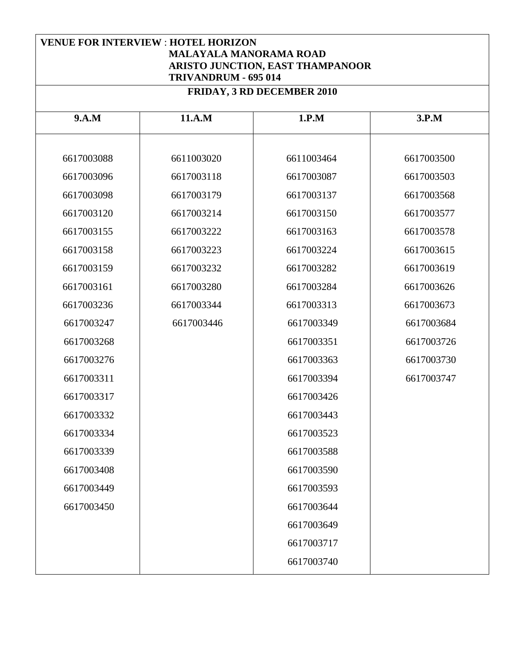## **VENUE FOR INTERVIEW** : **HOTEL HORIZON MALAYALA MANORAMA ROAD ARISTO JUNCTION, EAST THAMPANOOR TRIVANDRUM - 695 014**

| <b>FRIDAY, 3 RD DECEMBER 2010</b> |            |            |            |
|-----------------------------------|------------|------------|------------|
| 9.A.M                             | 11.A.M     | 1.P.M      | 3.P.M      |
|                                   |            |            |            |
| 6617003088                        | 6611003020 | 6611003464 | 6617003500 |
| 6617003096                        | 6617003118 | 6617003087 | 6617003503 |
| 6617003098                        | 6617003179 | 6617003137 | 6617003568 |
| 6617003120                        | 6617003214 | 6617003150 | 6617003577 |
| 6617003155                        | 6617003222 | 6617003163 | 6617003578 |
| 6617003158                        | 6617003223 | 6617003224 | 6617003615 |
| 6617003159                        | 6617003232 | 6617003282 | 6617003619 |
| 6617003161                        | 6617003280 | 6617003284 | 6617003626 |
| 6617003236                        | 6617003344 | 6617003313 | 6617003673 |
| 6617003247                        | 6617003446 | 6617003349 | 6617003684 |
| 6617003268                        |            | 6617003351 | 6617003726 |
| 6617003276                        |            | 6617003363 | 6617003730 |
| 6617003311                        |            | 6617003394 | 6617003747 |
| 6617003317                        |            | 6617003426 |            |
| 6617003332                        |            | 6617003443 |            |
| 6617003334                        |            | 6617003523 |            |
| 6617003339                        |            | 6617003588 |            |
| 6617003408                        |            | 6617003590 |            |
| 6617003449                        |            | 6617003593 |            |
| 6617003450                        |            | 6617003644 |            |
|                                   |            | 6617003649 |            |
|                                   |            | 6617003717 |            |
|                                   |            | 6617003740 |            |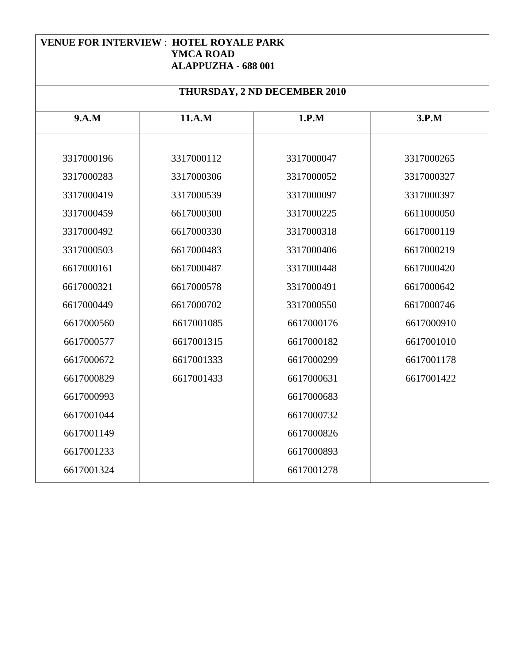#### **VENUE FOR INTERVIEW** : **HOTEL ROYALE PARK YMCA ROAD ALAPPUZHA - 688 001**

| THURSDAY, 2 ND DECEMBER 2010 |            |            |            |  |
|------------------------------|------------|------------|------------|--|
| 9.A.M                        | 11.A.M     | 1.P.M      | 3.P.M      |  |
|                              |            |            |            |  |
| 3317000196                   | 3317000112 | 3317000047 | 3317000265 |  |
| 3317000283                   | 3317000306 | 3317000052 | 3317000327 |  |
| 3317000419                   | 3317000539 | 3317000097 | 3317000397 |  |
| 3317000459                   | 6617000300 | 3317000225 | 6611000050 |  |
| 3317000492                   | 6617000330 | 3317000318 | 6617000119 |  |
| 3317000503                   | 6617000483 | 3317000406 | 6617000219 |  |
| 6617000161                   | 6617000487 | 3317000448 | 6617000420 |  |
| 6617000321                   | 6617000578 | 3317000491 | 6617000642 |  |
| 6617000449                   | 6617000702 | 3317000550 | 6617000746 |  |
| 6617000560                   | 6617001085 | 6617000176 | 6617000910 |  |
| 6617000577                   | 6617001315 | 6617000182 | 6617001010 |  |
| 6617000672                   | 6617001333 | 6617000299 | 6617001178 |  |
| 6617000829                   | 6617001433 | 6617000631 | 6617001422 |  |
| 6617000993                   |            | 6617000683 |            |  |
| 6617001044                   |            | 6617000732 |            |  |
| 6617001149                   |            | 6617000826 |            |  |
| 6617001233                   |            | 6617000893 |            |  |
| 6617001324                   |            | 6617001278 |            |  |
|                              |            |            |            |  |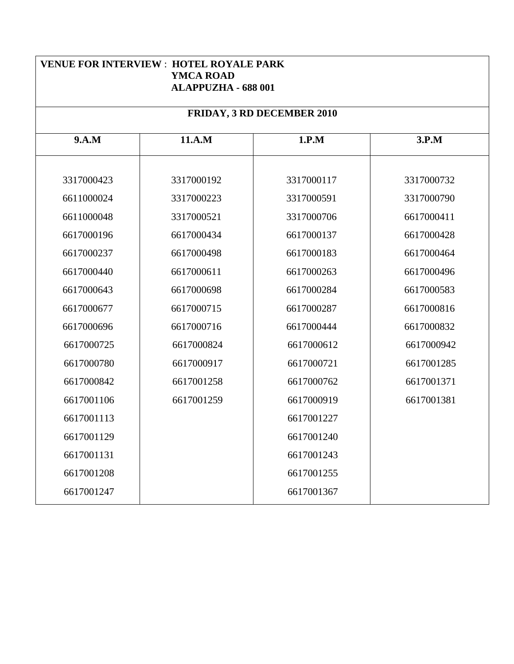| <b>VENUE FOR INTERVIEW : HOTEL ROYALE PARK</b><br><b>YMCA ROAD</b><br><b>ALAPPUZHA - 688 001</b> |            |                            |            |  |
|--------------------------------------------------------------------------------------------------|------------|----------------------------|------------|--|
|                                                                                                  |            | FRIDAY, 3 RD DECEMBER 2010 |            |  |
| 9.A.M                                                                                            | 11.A.M     | 1.P.M                      | 3.P.M      |  |
| 3317000423                                                                                       | 3317000192 | 3317000117                 | 3317000732 |  |
| 6611000024                                                                                       | 3317000223 | 3317000591                 | 3317000790 |  |
| 6611000048                                                                                       | 3317000521 | 3317000706                 | 6617000411 |  |
| 6617000196                                                                                       | 6617000434 | 6617000137                 | 6617000428 |  |
| 6617000237                                                                                       | 6617000498 | 6617000183                 | 6617000464 |  |
| 6617000440                                                                                       | 6617000611 | 6617000263                 | 6617000496 |  |
| 6617000643                                                                                       | 6617000698 | 6617000284                 | 6617000583 |  |
| 6617000677                                                                                       | 6617000715 | 6617000287                 | 6617000816 |  |
| 6617000696                                                                                       | 6617000716 | 6617000444                 | 6617000832 |  |
| 6617000725                                                                                       | 6617000824 | 6617000612                 | 6617000942 |  |
| 6617000780                                                                                       | 6617000917 | 6617000721                 | 6617001285 |  |
| 6617000842                                                                                       | 6617001258 | 6617000762                 | 6617001371 |  |
| 6617001106                                                                                       | 6617001259 | 6617000919                 | 6617001381 |  |
| 6617001113                                                                                       |            | 6617001227                 |            |  |
| 6617001129                                                                                       |            | 6617001240                 |            |  |
| 6617001131                                                                                       |            | 6617001243                 |            |  |
| 6617001208                                                                                       |            | 6617001255                 |            |  |
| 6617001247                                                                                       |            | 6617001367                 |            |  |
|                                                                                                  |            |                            |            |  |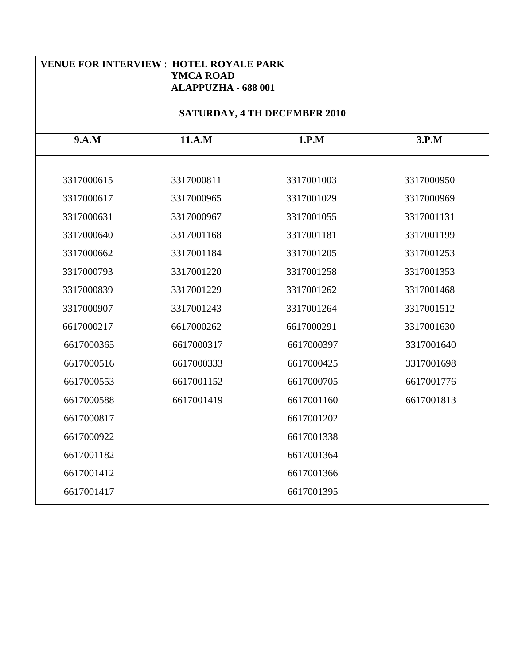| <b>VENUE FOR INTERVIEW: HOTEL ROYALE PARK</b><br><b>YMCA ROAD</b><br><b>ALAPPUZHA - 688 001</b> |            |                                     |            |  |
|-------------------------------------------------------------------------------------------------|------------|-------------------------------------|------------|--|
|                                                                                                 |            | <b>SATURDAY, 4 TH DECEMBER 2010</b> |            |  |
| 9.A.M                                                                                           | 11.A.M     | 1.P.M                               | 3.P.M      |  |
| 3317000615                                                                                      | 3317000811 | 3317001003                          | 3317000950 |  |
| 3317000617                                                                                      | 3317000965 | 3317001029                          | 3317000969 |  |
| 3317000631                                                                                      | 3317000967 | 3317001055                          | 3317001131 |  |
| 3317000640                                                                                      | 3317001168 | 3317001181                          | 3317001199 |  |
| 3317000662                                                                                      | 3317001184 | 3317001205                          | 3317001253 |  |
| 3317000793                                                                                      | 3317001220 | 3317001258                          | 3317001353 |  |
| 3317000839                                                                                      | 3317001229 | 3317001262                          | 3317001468 |  |
| 3317000907                                                                                      | 3317001243 | 3317001264                          | 3317001512 |  |
| 6617000217                                                                                      | 6617000262 | 6617000291                          | 3317001630 |  |
| 6617000365                                                                                      | 6617000317 | 6617000397                          | 3317001640 |  |
| 6617000516                                                                                      | 6617000333 | 6617000425                          | 3317001698 |  |
| 6617000553                                                                                      | 6617001152 | 6617000705                          | 6617001776 |  |
| 6617000588                                                                                      | 6617001419 | 6617001160                          | 6617001813 |  |
| 6617000817                                                                                      |            | 6617001202                          |            |  |
| 6617000922                                                                                      |            | 6617001338                          |            |  |
| 6617001182                                                                                      |            | 6617001364                          |            |  |
| 6617001412                                                                                      |            | 6617001366                          |            |  |
| 6617001417                                                                                      |            | 6617001395                          |            |  |
|                                                                                                 |            |                                     |            |  |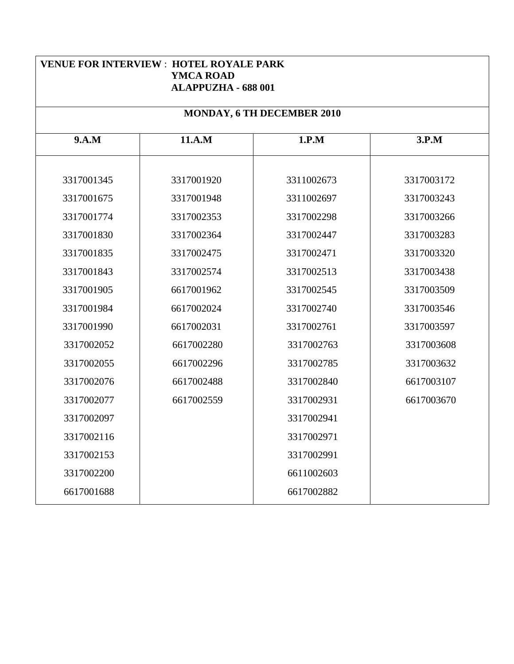| <b>VENUE FOR INTERVIEW : HOTEL ROYALE PARK</b><br><b>YMCA ROAD</b><br><b>ALAPPUZHA - 688 001</b> |            |                            |            |
|--------------------------------------------------------------------------------------------------|------------|----------------------------|------------|
|                                                                                                  |            | MONDAY, 6 TH DECEMBER 2010 |            |
| 9.A.M                                                                                            | 11.A.M     | 1.P.M                      | 3.P.M      |
| 3317001345                                                                                       | 3317001920 | 3311002673                 | 3317003172 |
| 3317001675                                                                                       | 3317001948 | 3311002697                 | 3317003243 |
| 3317001774                                                                                       | 3317002353 | 3317002298                 | 3317003266 |
| 3317001830                                                                                       | 3317002364 | 3317002447                 | 3317003283 |
| 3317001835                                                                                       | 3317002475 | 3317002471                 | 3317003320 |
| 3317001843                                                                                       | 3317002574 | 3317002513                 | 3317003438 |
| 3317001905                                                                                       | 6617001962 | 3317002545                 | 3317003509 |
| 3317001984                                                                                       | 6617002024 | 3317002740                 | 3317003546 |
| 3317001990                                                                                       | 6617002031 | 3317002761                 | 3317003597 |
| 3317002052                                                                                       | 6617002280 | 3317002763                 | 3317003608 |
| 3317002055                                                                                       | 6617002296 | 3317002785                 | 3317003632 |
| 3317002076                                                                                       | 6617002488 | 3317002840                 | 6617003107 |
| 3317002077                                                                                       | 6617002559 | 3317002931                 | 6617003670 |
| 3317002097                                                                                       |            | 3317002941                 |            |
| 3317002116                                                                                       |            | 3317002971                 |            |
| 3317002153                                                                                       |            | 3317002991                 |            |
| 3317002200                                                                                       |            | 6611002603                 |            |
| 6617001688                                                                                       |            | 6617002882                 |            |
|                                                                                                  |            |                            |            |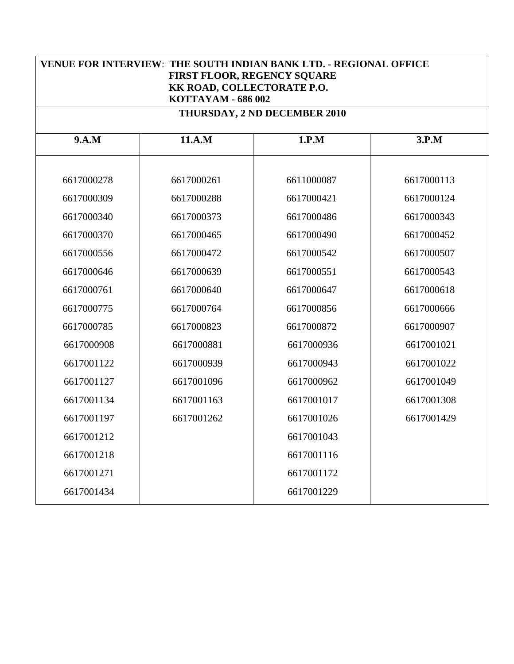| <b>VENUE FOR INTERVIEW: THE SOUTH INDIAN BANK LTD. - REGIONAL OFFICE</b><br><b>FIRST FLOOR, REGENCY SQUARE</b><br>KK ROAD, COLLECTORATE P.O.<br>KOTTAYAM - 686 002 |            |                              |            |
|--------------------------------------------------------------------------------------------------------------------------------------------------------------------|------------|------------------------------|------------|
|                                                                                                                                                                    |            | THURSDAY, 2 ND DECEMBER 2010 |            |
| 9.A.M                                                                                                                                                              | 11.A.M     | 1.P.M                        | 3.P.M      |
| 6617000278                                                                                                                                                         | 6617000261 | 6611000087                   | 6617000113 |
| 6617000309                                                                                                                                                         | 6617000288 | 6617000421                   | 6617000124 |
| 6617000340                                                                                                                                                         | 6617000373 | 6617000486                   | 6617000343 |
| 6617000370                                                                                                                                                         | 6617000465 | 6617000490                   | 6617000452 |
| 6617000556                                                                                                                                                         | 6617000472 | 6617000542                   | 6617000507 |
| 6617000646                                                                                                                                                         | 6617000639 | 6617000551                   | 6617000543 |
| 6617000761                                                                                                                                                         | 6617000640 | 6617000647                   | 6617000618 |
| 6617000775                                                                                                                                                         | 6617000764 | 6617000856                   | 6617000666 |
| 6617000785                                                                                                                                                         | 6617000823 | 6617000872                   | 6617000907 |
| 6617000908                                                                                                                                                         | 6617000881 | 6617000936                   | 6617001021 |
| 6617001122                                                                                                                                                         | 6617000939 | 6617000943                   | 6617001022 |
| 6617001127                                                                                                                                                         | 6617001096 | 6617000962                   | 6617001049 |
| 6617001134                                                                                                                                                         | 6617001163 | 6617001017                   | 6617001308 |
| 6617001197                                                                                                                                                         | 6617001262 | 6617001026                   | 6617001429 |
| 6617001212                                                                                                                                                         |            | 6617001043                   |            |
| 6617001218                                                                                                                                                         |            | 6617001116                   |            |
| 6617001271                                                                                                                                                         |            | 6617001172                   |            |
| 6617001434                                                                                                                                                         |            | 6617001229                   |            |
|                                                                                                                                                                    |            |                              |            |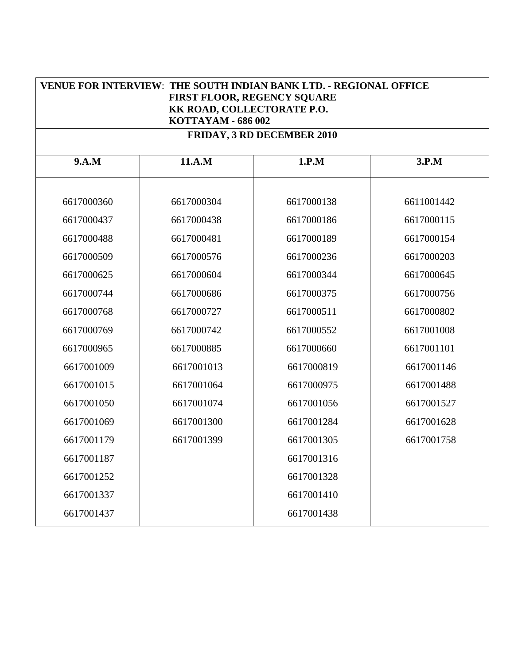| <b>VENUE FOR INTERVIEW: THE SOUTH INDIAN BANK LTD. - REGIONAL OFFICE</b><br>FIRST FLOOR, REGENCY SQUARE<br>KK ROAD, COLLECTORATE P.O.<br>KOTTAYAM - 686 002 |            |                                   |            |  |
|-------------------------------------------------------------------------------------------------------------------------------------------------------------|------------|-----------------------------------|------------|--|
|                                                                                                                                                             |            | <b>FRIDAY, 3 RD DECEMBER 2010</b> |            |  |
| 9.A.M                                                                                                                                                       | 11.A.M     | 1.P.M                             | 3.P.M      |  |
| 6617000360                                                                                                                                                  | 6617000304 | 6617000138                        | 6611001442 |  |
| 6617000437                                                                                                                                                  | 6617000438 | 6617000186                        | 6617000115 |  |
| 6617000488                                                                                                                                                  | 6617000481 | 6617000189                        | 6617000154 |  |
| 6617000509                                                                                                                                                  | 6617000576 | 6617000236                        | 6617000203 |  |
| 6617000625                                                                                                                                                  | 6617000604 | 6617000344                        | 6617000645 |  |
| 6617000744                                                                                                                                                  | 6617000686 | 6617000375                        | 6617000756 |  |
| 6617000768                                                                                                                                                  | 6617000727 | 6617000511                        | 6617000802 |  |
| 6617000769                                                                                                                                                  | 6617000742 | 6617000552                        | 6617001008 |  |
| 6617000965                                                                                                                                                  | 6617000885 | 6617000660                        | 6617001101 |  |
| 6617001009                                                                                                                                                  | 6617001013 | 6617000819                        | 6617001146 |  |
| 6617001015                                                                                                                                                  | 6617001064 | 6617000975                        | 6617001488 |  |
| 6617001050                                                                                                                                                  | 6617001074 | 6617001056                        | 6617001527 |  |
| 6617001069                                                                                                                                                  | 6617001300 | 6617001284                        | 6617001628 |  |
| 6617001179                                                                                                                                                  | 6617001399 | 6617001305                        | 6617001758 |  |
| 6617001187                                                                                                                                                  |            | 6617001316                        |            |  |
| 6617001252                                                                                                                                                  |            | 6617001328                        |            |  |
| 6617001337                                                                                                                                                  |            | 6617001410                        |            |  |
| 6617001437                                                                                                                                                  |            | 6617001438                        |            |  |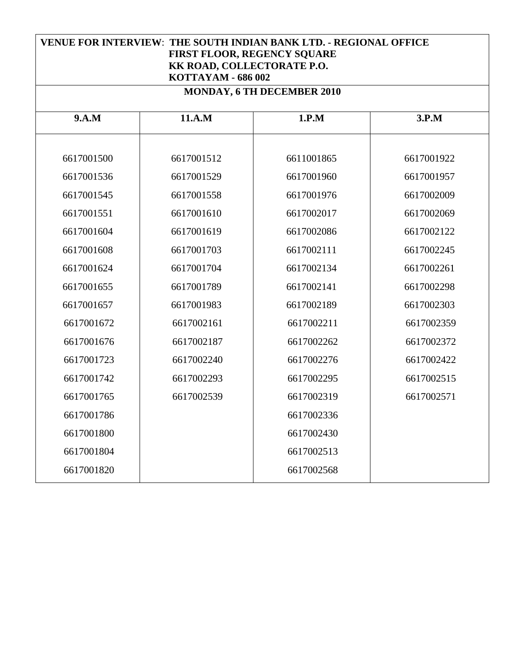| <b>VENUE FOR INTERVIEW: THE SOUTH INDIAN BANK LTD. - REGIONAL OFFICE</b><br>FIRST FLOOR, REGENCY SQUARE<br>KK ROAD, COLLECTORATE P.O.<br>KOTTAYAM - 686 002<br>MONDAY, 6 TH DECEMBER 2010 |            |            |            |  |  |
|-------------------------------------------------------------------------------------------------------------------------------------------------------------------------------------------|------------|------------|------------|--|--|
| 11.A.M<br>1.P.M<br>9.A.M<br>3.P.M                                                                                                                                                         |            |            |            |  |  |
| 6617001500                                                                                                                                                                                | 6617001512 | 6611001865 | 6617001922 |  |  |
| 6617001536                                                                                                                                                                                | 6617001529 | 6617001960 | 6617001957 |  |  |
| 6617001545                                                                                                                                                                                | 6617001558 | 6617001976 | 6617002009 |  |  |
| 6617001551                                                                                                                                                                                | 6617001610 | 6617002017 | 6617002069 |  |  |
| 6617001604                                                                                                                                                                                | 6617001619 | 6617002086 | 6617002122 |  |  |
| 6617001608                                                                                                                                                                                | 6617001703 | 6617002111 | 6617002245 |  |  |
| 6617001624                                                                                                                                                                                | 6617001704 | 6617002134 | 6617002261 |  |  |
| 6617001655                                                                                                                                                                                | 6617001789 | 6617002141 | 6617002298 |  |  |
| 6617001657                                                                                                                                                                                | 6617001983 | 6617002189 | 6617002303 |  |  |
| 6617001672                                                                                                                                                                                | 6617002161 | 6617002211 | 6617002359 |  |  |
| 6617001676                                                                                                                                                                                | 6617002187 | 6617002262 | 6617002372 |  |  |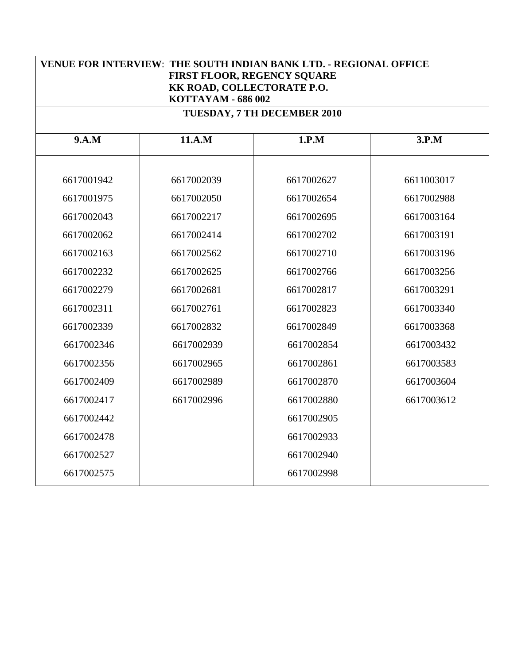| <b>VENUE FOR INTERVIEW: THE SOUTH INDIAN BANK LTD. - REGIONAL OFFICE</b><br>FIRST FLOOR, REGENCY SQUARE<br>KK ROAD, COLLECTORATE P.O.<br>KOTTAYAM - 686 002 |            |            |            |  |  |  |
|-------------------------------------------------------------------------------------------------------------------------------------------------------------|------------|------------|------------|--|--|--|
| TUESDAY, 7 TH DECEMBER 2010                                                                                                                                 |            |            |            |  |  |  |
| 9.A.M                                                                                                                                                       | 11.A.M     | 1.P.M      | 3.P.M      |  |  |  |
| 6617001942                                                                                                                                                  | 6617002039 | 6617002627 | 6611003017 |  |  |  |
| 6617001975                                                                                                                                                  | 6617002050 | 6617002654 | 6617002988 |  |  |  |
| 6617002043                                                                                                                                                  | 6617002217 | 6617002695 | 6617003164 |  |  |  |
| 6617002062                                                                                                                                                  | 6617002414 | 6617002702 | 6617003191 |  |  |  |
| 6617002163                                                                                                                                                  | 6617002562 | 6617002710 | 6617003196 |  |  |  |
| 6617002232                                                                                                                                                  | 6617002625 | 6617002766 | 6617003256 |  |  |  |
| 6617002279                                                                                                                                                  | 6617002681 | 6617002817 | 6617003291 |  |  |  |
| 6617002311                                                                                                                                                  | 6617002761 | 6617002823 | 6617003340 |  |  |  |
| 6617002339                                                                                                                                                  | 6617002832 | 6617002849 | 6617003368 |  |  |  |
| 6617002346                                                                                                                                                  | 6617002939 | 6617002854 | 6617003432 |  |  |  |
| 6617002356                                                                                                                                                  | 6617002965 | 6617002861 | 6617003583 |  |  |  |
| 6617002409                                                                                                                                                  | 6617002989 | 6617002870 | 6617003604 |  |  |  |
| 6617002417                                                                                                                                                  | 6617002996 | 6617002880 | 6617003612 |  |  |  |
| 6617002442                                                                                                                                                  |            | 6617002905 |            |  |  |  |
| 6617002478                                                                                                                                                  |            | 6617002933 |            |  |  |  |
| 6617002527                                                                                                                                                  |            | 6617002940 |            |  |  |  |
| 6617002575                                                                                                                                                  |            | 6617002998 |            |  |  |  |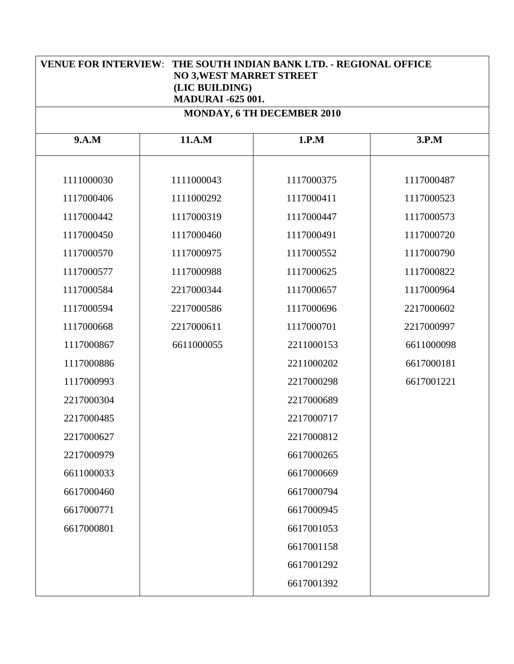| <b>VENUE FOR INTERVIEW:</b><br>THE SOUTH INDIAN BANK LTD. - REGIONAL OFFICE<br><b>NO 3, WEST MARRET STREET</b><br>(LIC BUILDING)<br><b>MADURAI -625 001.</b> |            |            |            |  |  |  |
|--------------------------------------------------------------------------------------------------------------------------------------------------------------|------------|------------|------------|--|--|--|
| MONDAY, 6 TH DECEMBER 2010                                                                                                                                   |            |            |            |  |  |  |
| 9.A.M                                                                                                                                                        | 11.A.M     | 1.P.M      | 3.P.M      |  |  |  |
| 1111000030                                                                                                                                                   | 1111000043 | 1117000375 | 1117000487 |  |  |  |
| 1117000406                                                                                                                                                   | 1111000292 | 1117000411 | 1117000523 |  |  |  |
| 1117000442                                                                                                                                                   | 1117000319 | 1117000447 | 1117000573 |  |  |  |
| 1117000450                                                                                                                                                   | 1117000460 | 1117000491 | 1117000720 |  |  |  |
| 1117000570                                                                                                                                                   | 1117000975 | 1117000552 | 1117000790 |  |  |  |
| 1117000577                                                                                                                                                   | 1117000988 | 1117000625 | 1117000822 |  |  |  |
| 1117000584                                                                                                                                                   | 2217000344 | 1117000657 | 1117000964 |  |  |  |
| 1117000594                                                                                                                                                   | 2217000586 | 1117000696 | 2217000602 |  |  |  |
| 1117000668                                                                                                                                                   | 2217000611 | 1117000701 | 2217000997 |  |  |  |
| 1117000867                                                                                                                                                   | 6611000055 | 2211000153 | 6611000098 |  |  |  |
| 1117000886                                                                                                                                                   |            | 2211000202 | 6617000181 |  |  |  |
| 1117000993                                                                                                                                                   |            | 2217000298 | 6617001221 |  |  |  |
| 2217000304                                                                                                                                                   |            | 2217000689 |            |  |  |  |
| 2217000485                                                                                                                                                   |            | 2217000717 |            |  |  |  |
| 2217000627                                                                                                                                                   |            | 2217000812 |            |  |  |  |
| 2217000979                                                                                                                                                   |            | 6617000265 |            |  |  |  |
| 6611000033                                                                                                                                                   |            | 6617000669 |            |  |  |  |
| 6617000460                                                                                                                                                   |            | 6617000794 |            |  |  |  |
| 6617000771                                                                                                                                                   |            | 6617000945 |            |  |  |  |
| 6617000801                                                                                                                                                   |            | 6617001053 |            |  |  |  |
|                                                                                                                                                              |            | 6617001158 |            |  |  |  |
|                                                                                                                                                              |            | 6617001292 |            |  |  |  |
|                                                                                                                                                              |            | 6617001392 |            |  |  |  |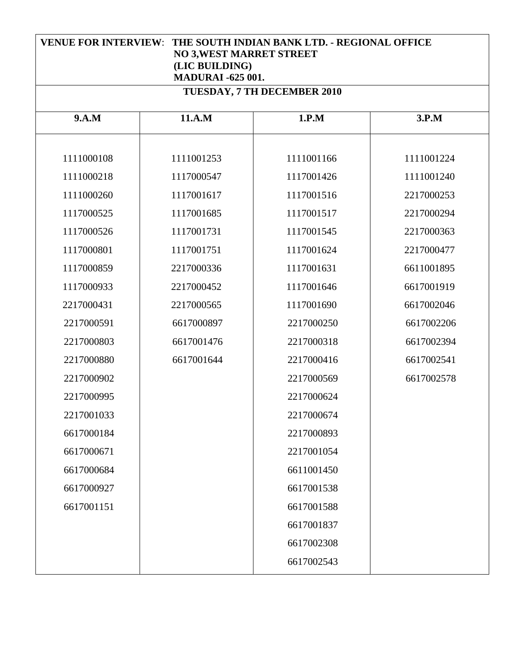| <b>VENUE FOR INTERVIEW: THE SOUTH INDIAN BANK LTD. - REGIONAL OFFICE</b><br><b>NO 3, WEST MARRET STREET</b><br>(LIC BUILDING)<br><b>MADURAI -625 001.</b> |            |            |            |  |  |  |
|-----------------------------------------------------------------------------------------------------------------------------------------------------------|------------|------------|------------|--|--|--|
| <b>TUESDAY, 7 TH DECEMBER 2010</b>                                                                                                                        |            |            |            |  |  |  |
| 9.A.M                                                                                                                                                     | 11.A.M     | 1.P.M      | 3.P.M      |  |  |  |
| 1111000108                                                                                                                                                | 1111001253 | 1111001166 | 1111001224 |  |  |  |
| 1111000218                                                                                                                                                | 1117000547 | 1117001426 | 1111001240 |  |  |  |
| 1111000260                                                                                                                                                | 1117001617 | 1117001516 | 2217000253 |  |  |  |
| 1117000525                                                                                                                                                | 1117001685 | 1117001517 | 2217000294 |  |  |  |
| 1117000526                                                                                                                                                | 1117001731 | 1117001545 | 2217000363 |  |  |  |
| 1117000801                                                                                                                                                | 1117001751 | 1117001624 | 2217000477 |  |  |  |
| 1117000859                                                                                                                                                | 2217000336 | 1117001631 | 6611001895 |  |  |  |
| 1117000933                                                                                                                                                | 2217000452 | 1117001646 | 6617001919 |  |  |  |
| 2217000431                                                                                                                                                | 2217000565 | 1117001690 | 6617002046 |  |  |  |
| 2217000591                                                                                                                                                | 6617000897 | 2217000250 | 6617002206 |  |  |  |
| 2217000803                                                                                                                                                | 6617001476 | 2217000318 | 6617002394 |  |  |  |
| 2217000880                                                                                                                                                | 6617001644 | 2217000416 | 6617002541 |  |  |  |
| 2217000902                                                                                                                                                |            | 2217000569 | 6617002578 |  |  |  |
| 2217000995                                                                                                                                                |            | 2217000624 |            |  |  |  |
| 2217001033                                                                                                                                                |            | 2217000674 |            |  |  |  |
| 6617000184                                                                                                                                                |            | 2217000893 |            |  |  |  |
| 6617000671                                                                                                                                                |            | 2217001054 |            |  |  |  |
| 6617000684                                                                                                                                                |            | 6611001450 |            |  |  |  |
| 6617000927                                                                                                                                                |            | 6617001538 |            |  |  |  |
| 6617001151                                                                                                                                                |            | 6617001588 |            |  |  |  |
|                                                                                                                                                           |            | 6617001837 |            |  |  |  |
|                                                                                                                                                           |            | 6617002308 |            |  |  |  |
|                                                                                                                                                           |            | 6617002543 |            |  |  |  |